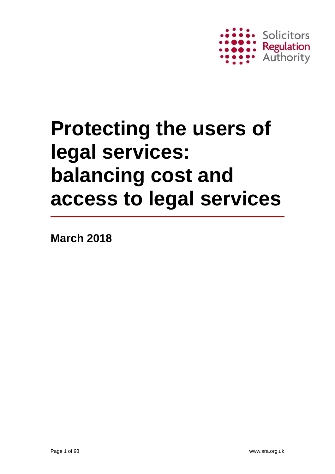

**March 2018**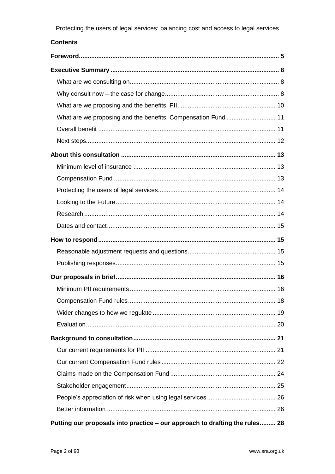#### **Contents**

| Putting our proposals into practice - our approach to drafting the rules 28 |
|-----------------------------------------------------------------------------|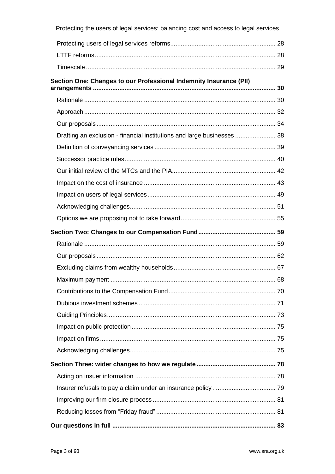| Protecting the users of legal services: balancing cost and access to legal services |  |
|-------------------------------------------------------------------------------------|--|
|                                                                                     |  |
|                                                                                     |  |
|                                                                                     |  |
| Section One: Changes to our Professional Indemnity Insurance (PII)                  |  |
|                                                                                     |  |
|                                                                                     |  |
|                                                                                     |  |
| Drafting an exclusion - financial institutions and large businesses  38             |  |
|                                                                                     |  |
|                                                                                     |  |
|                                                                                     |  |
|                                                                                     |  |
|                                                                                     |  |
|                                                                                     |  |
|                                                                                     |  |
|                                                                                     |  |
|                                                                                     |  |
|                                                                                     |  |
|                                                                                     |  |
|                                                                                     |  |
|                                                                                     |  |
|                                                                                     |  |
|                                                                                     |  |
|                                                                                     |  |
|                                                                                     |  |
|                                                                                     |  |
|                                                                                     |  |
|                                                                                     |  |
|                                                                                     |  |
|                                                                                     |  |
|                                                                                     |  |
|                                                                                     |  |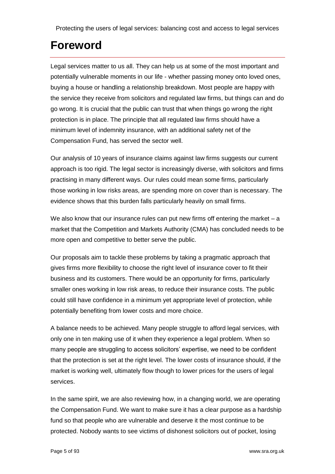## <span id="page-4-0"></span>**Foreword**

Legal services matter to us all. They can help us at some of the most important and potentially vulnerable moments in our life - whether passing money onto loved ones, buying a house or handling a relationship breakdown. Most people are happy with the service they receive from solicitors and regulated law firms, but things can and do go wrong. It is crucial that the public can trust that when things go wrong the right protection is in place. The principle that all regulated law firms should have a minimum level of indemnity insurance, with an additional safety net of the Compensation Fund, has served the sector well.

Our analysis of 10 years of insurance claims against law firms suggests our current approach is too rigid. The legal sector is increasingly diverse, with solicitors and firms practising in many different ways. Our rules could mean some firms, particularly those working in low risks areas, are spending more on cover than is necessary. The evidence shows that this burden falls particularly heavily on small firms.

We also know that our insurance rules can put new firms off entering the market  $- a$ market that the Competition and Markets Authority (CMA) has concluded needs to be more open and competitive to better serve the public.

Our proposals aim to tackle these problems by taking a pragmatic approach that gives firms more flexibility to choose the right level of insurance cover to fit their business and its customers. There would be an opportunity for firms, particularly smaller ones working in low risk areas, to reduce their insurance costs. The public could still have confidence in a minimum yet appropriate level of protection, while potentially benefiting from lower costs and more choice.

A balance needs to be achieved. Many people struggle to afford legal services, with only one in ten making use of it when they experience a legal problem. When so many people are struggling to access solicitors' expertise, we need to be confident that the protection is set at the right level. The lower costs of insurance should, if the market is working well, ultimately flow though to lower prices for the users of legal services.

In the same spirit, we are also reviewing how, in a changing world, we are operating the Compensation Fund. We want to make sure it has a clear purpose as a hardship fund so that people who are vulnerable and deserve it the most continue to be protected. Nobody wants to see victims of dishonest solicitors out of pocket, losing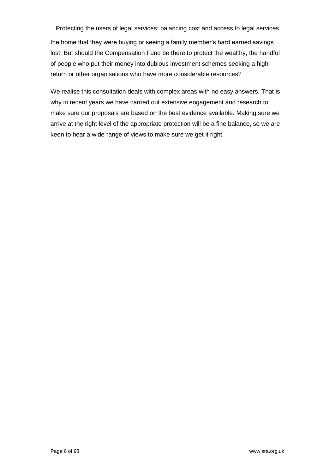Protecting the users of legal services: balancing cost and access to legal services the home that they were buying or seeing a family member's hard earned savings lost. But should the Compensation Fund be there to protect the wealthy, the handful of people who put their money into dubious investment schemes seeking a high return or other organisations who have more considerable resources?

We realise this consultation deals with complex areas with no easy answers. That is why in recent years we have carried out extensive engagement and research to make sure our proposals are based on the best evidence available. Making sure we arrive at the right level of the appropriate protection will be a fine balance, so we are keen to hear a wide range of views to make sure we get it right.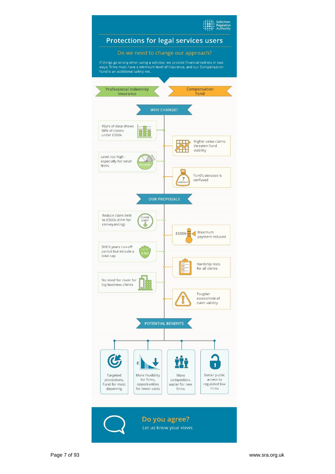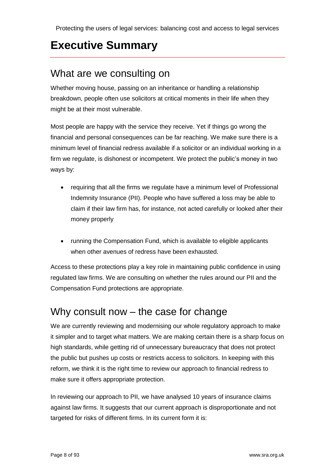# <span id="page-7-0"></span>**Executive Summary**

#### <span id="page-7-1"></span>What are we consulting on

Whether moving house, passing on an inheritance or handling a relationship breakdown, people often use solicitors at critical moments in their life when they might be at their most vulnerable.

Most people are happy with the service they receive. Yet if things go wrong the financial and personal consequences can be far reaching. We make sure there is a minimum level of financial redress available if a solicitor or an individual working in a firm we regulate, is dishonest or incompetent. We protect the public's money in two ways by:

- requiring that all the firms we regulate have a minimum level of Professional Indemnity Insurance (PII). People who have suffered a loss may be able to claim if their law firm has, for instance, not acted carefully or looked after their money properly
- running the Compensation Fund, which is available to eligible applicants when other avenues of redress have been exhausted.

Access to these protections play a key role in maintaining public confidence in using regulated law firms. We are consulting on whether the rules around our PII and the Compensation Fund protections are appropriate.

#### <span id="page-7-2"></span>Why consult now – the case for change

We are currently reviewing and modernising our whole regulatory approach to make it simpler and to target what matters. We are making certain there is a sharp focus on high standards, while getting rid of unnecessary bureaucracy that does not protect the public but pushes up costs or restricts access to solicitors. In keeping with this reform, we think it is the right time to review our approach to financial redress to make sure it offers appropriate protection.

In reviewing our approach to PII, we have analysed 10 years of insurance claims against law firms. It suggests that our current approach is disproportionate and not targeted for risks of different firms. In its current form it is: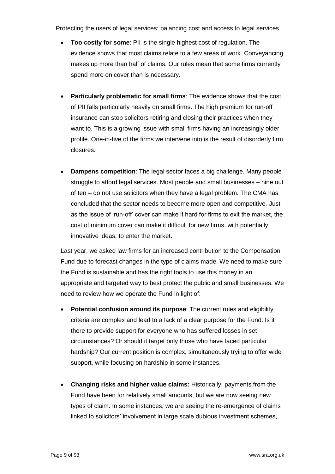- **Too costly for some**: PII is the single highest cost of regulation. The evidence shows that most claims relate to a few areas of work. Conveyancing makes up more than half of claims. Our rules mean that some firms currently spend more on cover than is necessary.
- **Particularly problematic for small firms**: The evidence shows that the cost of PII falls particularly heavily on small firms. The high premium for run-off insurance can stop solicitors retiring and closing their practices when they want to. This is a growing issue with small firms having an increasingly older profile. One-in-five of the firms we intervene into is the result of disorderly firm closures.
- **Dampens competition**: The legal sector faces a big challenge. Many people struggle to afford legal services. Most people and small businesses – nine out of ten – do not use solicitors when they have a legal problem. The CMA has concluded that the sector needs to become more open and competitive. Just as the issue of 'run-off' cover can make it hard for firms to exit the market, the cost of minimum cover can make it difficult for new firms, with potentially innovative ideas, to enter the market.

Last year, we asked law firms for an increased contribution to the Compensation Fund due to forecast changes in the type of claims made. We need to make sure the Fund is sustainable and has the right tools to use this money in an appropriate and targeted way to best protect the public and small businesses. We need to review how we operate the Fund in light of:

- **Potential confusion around its purpose**: The current rules and eligibility criteria are complex and lead to a lack of a clear purpose for the Fund. Is it there to provide support for everyone who has suffered losses in set circumstances? Or should it target only those who have faced particular hardship? Our current position is complex, simultaneously trying to offer wide support, while focusing on hardship in some instances.
- **Changing risks and higher value claims:** Historically, payments from the Fund have been for relatively small amounts, but we are now seeing new types of claim. In some instances, we are seeing the re-emergence of claims linked to solicitors' involvement in large scale dubious investment schemes,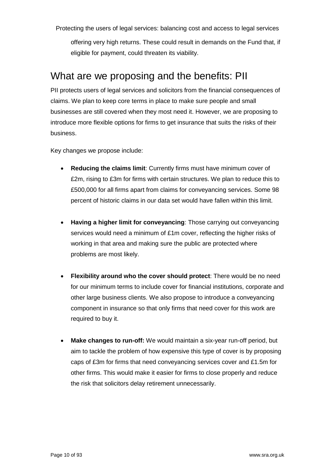offering very high returns. These could result in demands on the Fund that, if eligible for payment, could threaten its viability.

#### <span id="page-9-0"></span>What are we proposing and the benefits: PII

PII protects users of legal services and solicitors from the financial consequences of claims. We plan to keep core terms in place to make sure people and small businesses are still covered when they most need it. However, we are proposing to introduce more flexible options for firms to get insurance that suits the risks of their business.

Key changes we propose include:

- **Reducing the claims limit**: Currently firms must have minimum cover of £2m, rising to £3m for firms with certain structures. We plan to reduce this to £500,000 for all firms apart from claims for conveyancing services. Some 98 percent of historic claims in our data set would have fallen within this limit.
- **Having a higher limit for conveyancing:** Those carrying out conveyancing services would need a minimum of £1m cover, reflecting the higher risks of working in that area and making sure the public are protected where problems are most likely.
- **Flexibility around who the cover should protect**: There would be no need for our minimum terms to include cover for financial institutions, corporate and other large business clients. We also propose to introduce a conveyancing component in insurance so that only firms that need cover for this work are required to buy it.
- **Make changes to run-off:** We would maintain a six-year run-off period, but aim to tackle the problem of how expensive this type of cover is by proposing caps of £3m for firms that need conveyancing services cover and £1.5m for other firms. This would make it easier for firms to close properly and reduce the risk that solicitors delay retirement unnecessarily.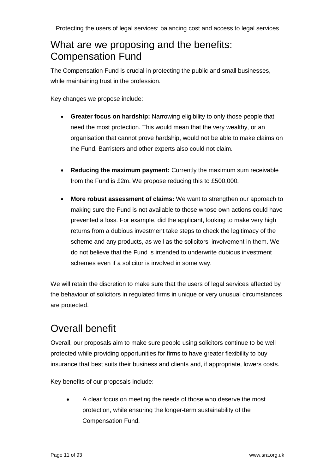## <span id="page-10-0"></span>What are we proposing and the benefits: Compensation Fund

The Compensation Fund is crucial in protecting the public and small businesses, while maintaining trust in the profession.

Key changes we propose include:

- **Greater focus on hardship:** Narrowing eligibility to only those people that need the most protection. This would mean that the very wealthy, or an organisation that cannot prove hardship, would not be able to make claims on the Fund. Barristers and other experts also could not claim.
- **Reducing the maximum payment:** Currently the maximum sum receivable from the Fund is £2m. We propose reducing this to £500,000.
- **More robust assessment of claims:** We want to strengthen our approach to making sure the Fund is not available to those whose own actions could have prevented a loss. For example, did the applicant, looking to make very high returns from a dubious investment take steps to check the legitimacy of the scheme and any products, as well as the solicitors' involvement in them. We do not believe that the Fund is intended to underwrite dubious investment schemes even if a solicitor is involved in some way.

We will retain the discretion to make sure that the users of legal services affected by the behaviour of solicitors in regulated firms in unique or very unusual circumstances are protected.

## <span id="page-10-1"></span>Overall benefit

Overall, our proposals aim to make sure people using solicitors continue to be well protected while providing opportunities for firms to have greater flexibility to buy insurance that best suits their business and clients and, if appropriate, lowers costs.

Key benefits of our proposals include:

• A clear focus on meeting the needs of those who deserve the most protection, while ensuring the longer-term sustainability of the Compensation Fund.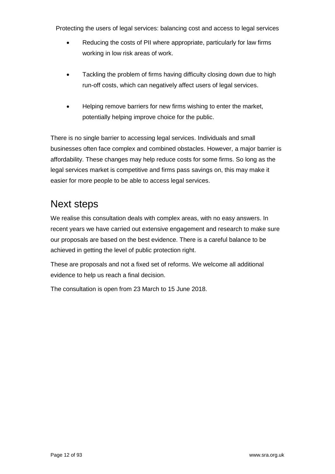- Reducing the costs of PII where appropriate, particularly for law firms working in low risk areas of work.
- Tackling the problem of firms having difficulty closing down due to high run-off costs, which can negatively affect users of legal services.
- Helping remove barriers for new firms wishing to enter the market, potentially helping improve choice for the public.

There is no single barrier to accessing legal services. Individuals and small businesses often face complex and combined obstacles. However, a major barrier is affordability. These changes may help reduce costs for some firms. So long as the legal services market is competitive and firms pass savings on, this may make it easier for more people to be able to access legal services.

#### <span id="page-11-0"></span>Next steps

We realise this consultation deals with complex areas, with no easy answers. In recent years we have carried out extensive engagement and research to make sure our proposals are based on the best evidence. There is a careful balance to be achieved in getting the level of public protection right.

These are proposals and not a fixed set of reforms. We welcome all additional evidence to help us reach a final decision.

The consultation is open from 23 March to 15 June 2018.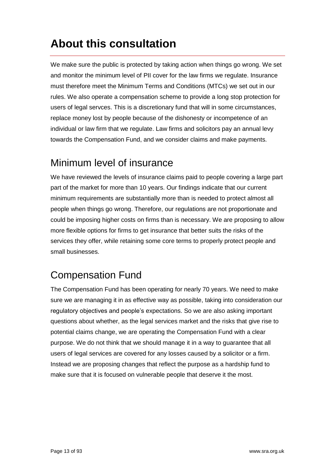# <span id="page-12-0"></span>**About this consultation**

We make sure the public is protected by taking action when things go wrong. We set and monitor the minimum level of PII cover for the law firms we regulate. Insurance must therefore meet the Minimum Terms and Conditions (MTCs) we set out in our rules. We also operate a compensation scheme to provide a long stop protection for users of legal servces. This is a discretionary fund that will in some circumstances, replace money lost by people because of the dishonesty or incompetence of an individual or law firm that we regulate. Law firms and solicitors pay an annual levy towards the Compensation Fund, and we consider claims and make payments.

#### <span id="page-12-1"></span>Minimum level of insurance

We have reviewed the levels of insurance claims paid to people covering a large part part of the market for more than 10 years. Our findings indicate that our current minimum requirements are substantially more than is needed to protect almost all people when things go wrong. Therefore, our regulations are not proportionate and could be imposing higher costs on firms than is necessary. We are proposing to allow more flexible options for firms to get insurance that better suits the risks of the services they offer, while retaining some core terms to properly protect people and small businesses.

## <span id="page-12-2"></span>Compensation Fund

The Compensation Fund has been operating for nearly 70 years. We need to make sure we are managing it in as effective way as possible, taking into consideration our regulatory objectives and people's expectations. So we are also asking important questions about whether, as the legal services market and the risks that give rise to potential claims change, we are operating the Compensation Fund with a clear purpose. We do not think that we should manage it in a way to guarantee that all users of legal services are covered for any losses caused by a solicitor or a firm. Instead we are proposing changes that reflect the purpose as a hardship fund to make sure that it is focused on vulnerable people that deserve it the most.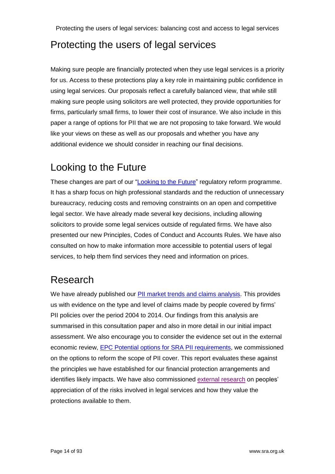#### <span id="page-13-0"></span>Protecting the users of legal services

Making sure people are financially protected when they use legal services is a priority for us. Access to these protections play a key role in maintaining public confidence in using legal services. Our proposals reflect a carefully balanced view, that while still making sure people using solicitors are well protected, they provide opportunities for firms, particularly small firms, to lower their cost of insurance. We also include in this paper a range of options for PII that we are not proposing to take forward. We would like your views on these as well as our proposals and whether you have any additional evidence we should consider in reaching our final decisions.

## <span id="page-13-1"></span>Looking to the Future

These changes are part of our ["Looking to the Future"](http://www.sra.org.uk/sra/policy/future/position-paper.page) regulatory reform programme. It has a sharp focus on high professional standards and the reduction of unnecessary bureaucracy, reducing costs and removing constraints on an open and competitive legal sector. We have already made several key decisions, including allowing solicitors to provide some legal services outside of regulated firms. We have also presented our new Principles, Codes of Conduct and Accounts Rules. We have also consulted on how to make information more accessible to potential users of legal services, to help them find services they need and information on prices.

## <span id="page-13-2"></span>Research

We have already published our [PII market trends and claims analysis.](https://www.sra.org.uk/sra/news/press/pii-trends-published.page) This provides us with evidence on the type and level of claims made by people covered by firms' PII policies over the period 2004 to 2014. Our findings from this analysis are summarised in this consultation paper and also in more detail in our initial impact assessment. We also encourage you to consider the evidence set out in the external economic review, [EPC Potential options for SRA PII requirements,](https://www.sra.org.uk/sra/consultations/access-legal-services.page#download) we commissioned on the options to reform the scope of PII cover. This report evaluates these against the principles we have established for our financial protection arrangements and identifies likely impacts. We have also commissioned [external research](https://www.sra.org.uk/sra/consultations/access-legal-services.page#download) on peoples' appreciation of of the risks involved in legal services and how they value the protections available to them.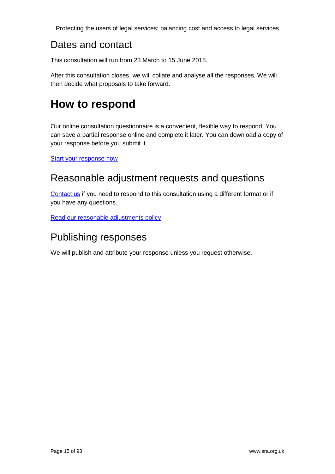#### <span id="page-14-0"></span>Dates and contact

This consultation will run from 23 March to 15 June 2018.

After this consultation closes, we will collate and analyse all the responses. We will then decide what proposals to take forward.

## <span id="page-14-1"></span>**How to respond**

Our online consultation questionnaire is a convenient, flexible way to respond. You can save a partial response online and complete it later. You can download a copy of your response before you submit it.

**[Start your response now](https://form.sra.org.uk/s3/access-legal-services)** 

#### <span id="page-14-2"></span>Reasonable adjustment requests and questions

[Contact us](http://www.sra.org.uk/sra/consultations/access-legal-services.page#respond) if you need to respond to this consultation using a different format or if you have any questions.

[Read our reasonable adjustments policy](https://www.sra.org.uk/sra/reasonable-adjustment-policy.page)

#### <span id="page-14-3"></span>Publishing responses

We will publish and attribute your response unless you request otherwise.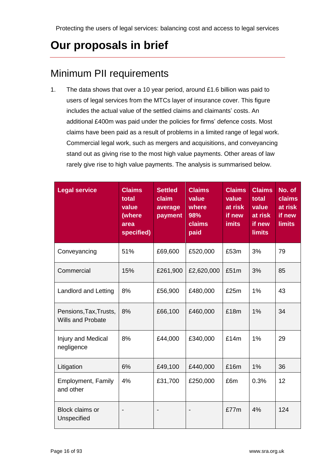# <span id="page-15-0"></span>**Our proposals in brief**

## <span id="page-15-1"></span>Minimum PII requirements

1. The data shows that over a 10 year period, around £1.6 billion was paid to users of legal services from the MTCs layer of insurance cover. This figure includes the actual value of the settled claims and claimants' costs. An additional £400m was paid under the policies for firms' defence costs. Most claims have been paid as a result of problems in a limited range of legal work. Commercial legal work, such as mergers and acquisitions, and conveyancing stand out as giving rise to the most high value payments. Other areas of law rarely give rise to high value payments. The analysis is summarised below.

| <b>Legal service</b>                               | <b>Claims</b><br>total<br>value<br>(where<br>area<br>specified) | <b>Settled</b><br>claim<br>average<br>payment | <b>Claims</b><br>value<br>where<br>98%<br>claims<br>paid | <b>Claims</b><br>value<br>at risk<br>if new<br><b>imits</b> | <b>Claims</b><br>total<br>value<br>at risk<br>if new<br><b>limits</b> | No. of<br><b>claims</b><br>at risk<br>if new<br>limits |
|----------------------------------------------------|-----------------------------------------------------------------|-----------------------------------------------|----------------------------------------------------------|-------------------------------------------------------------|-----------------------------------------------------------------------|--------------------------------------------------------|
| Conveyancing                                       | 51%                                                             | £69,600                                       | £520,000                                                 | £53m                                                        | 3%                                                                    | 79                                                     |
| Commercial                                         | 15%                                                             | £261,900                                      | £2,620,000                                               | £51m                                                        | 3%                                                                    | 85                                                     |
| <b>Landlord and Letting</b>                        | 8%                                                              | £56,900                                       | £480,000                                                 | £25m                                                        | 1%                                                                    | 43                                                     |
| Pensions, Tax, Trusts,<br><b>Wills and Probate</b> | 8%                                                              | £66,100                                       | £460,000                                                 | £18m                                                        | 1%                                                                    | 34                                                     |
| Injury and Medical<br>negligence                   | 8%                                                              | £44,000                                       | £340,000                                                 | £14m                                                        | 1%                                                                    | 29                                                     |
| Litigation                                         | 6%                                                              | £49,100                                       | £440,000                                                 | £16m                                                        | 1%                                                                    | 36                                                     |
| <b>Employment, Family</b><br>and other             | 4%                                                              | £31,700                                       | £250,000                                                 | £6m                                                         | 0.3%                                                                  | 12                                                     |
| Block claims or<br>Unspecified                     |                                                                 |                                               |                                                          | £77m                                                        | 4%                                                                    | 124                                                    |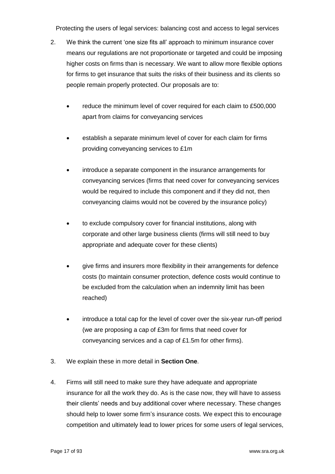- 2. We think the current 'one size fits all' approach to minimum insurance cover means our regulations are not proportionate or targeted and could be imposing higher costs on firms than is necessary. We want to allow more flexible options for firms to get insurance that suits the risks of their business and its clients so people remain properly protected. Our proposals are to:
	- reduce the minimum level of cover required for each claim to £500,000 apart from claims for conveyancing services
	- establish a separate minimum level of cover for each claim for firms providing conveyancing services to £1m
	- introduce a separate component in the insurance arrangements for conveyancing services (firms that need cover for conveyancing services would be required to include this component and if they did not, then conveyancing claims would not be covered by the insurance policy)
	- to exclude compulsory cover for financial institutions, along with corporate and other large business clients (firms will still need to buy appropriate and adequate cover for these clients)
	- give firms and insurers more flexibility in their arrangements for defence costs (to maintain consumer protection, defence costs would continue to be excluded from the calculation when an indemnity limit has been reached)
	- introduce a total cap for the level of cover over the six-year run-off period (we are proposing a cap of £3m for firms that need cover for conveyancing services and a cap of £1.5m for other firms).
- 3. We explain these in more detail in **Section One**.
- 4. Firms will still need to make sure they have adequate and appropriate insurance for all the work they do. As is the case now, they will have to assess their clients' needs and buy additional cover where necessary. These changes should help to lower some firm's insurance costs. We expect this to encourage competition and ultimately lead to lower prices for some users of legal services,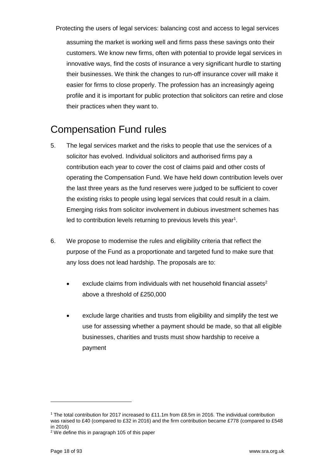assuming the market is working well and firms pass these savings onto their customers. We know new firms, often with potential to provide legal services in innovative ways, find the costs of insurance a very significant hurdle to starting their businesses. We think the changes to run-off insurance cover will make it easier for firms to close properly. The profession has an increasingly ageing profile and it is important for public protection that solicitors can retire and close their practices when they want to.

#### <span id="page-17-0"></span>Compensation Fund rules

- 5. The legal services market and the risks to people that use the services of a solicitor has evolved. Individual solicitors and authorised firms pay a contribution each year to cover the cost of claims paid and other costs of operating the Compensation Fund. We have held down contribution levels over the last three years as the fund reserves were judged to be sufficient to cover the existing risks to people using legal services that could result in a claim. Emerging risks from solicitor involvement in dubious investment schemes has led to contribution levels returning to previous levels this year<sup>1</sup>.
- 6. We propose to modernise the rules and eligibility criteria that reflect the purpose of the Fund as a proportionate and targeted fund to make sure that any loss does not lead hardship. The proposals are to:
	- exclude claims from individuals with net household financial assets<sup>2</sup> above a threshold of £250,000
	- exclude large charities and trusts from eligibility and simplify the test we use for assessing whether a payment should be made, so that all eligible businesses, charities and trusts must show hardship to receive a payment

<sup>1</sup> The total contribution for 2017 increased to £11.1m from £8.5m in 2016. The individual contribution was raised to £40 (compared to £32 in 2016) and the firm contribution became £778 (compared to £548 in 2016)

<sup>2</sup> We define this in paragraph 105 of this paper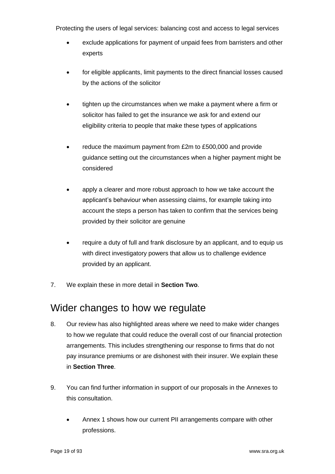- exclude applications for payment of unpaid fees from barristers and other experts
- for eligible applicants, limit payments to the direct financial losses caused by the actions of the solicitor
- tighten up the circumstances when we make a payment where a firm or solicitor has failed to get the insurance we ask for and extend our eligibility criteria to people that make these types of applications
- reduce the maximum payment from £2m to £500,000 and provide guidance setting out the circumstances when a higher payment might be considered
- apply a clearer and more robust approach to how we take account the applicant's behaviour when assessing claims, for example taking into account the steps a person has taken to confirm that the services being provided by their solicitor are genuine
- require a duty of full and frank disclosure by an applicant, and to equip us with direct investigatory powers that allow us to challenge evidence provided by an applicant.
- 7. We explain these in more detail in **Section Two**.

#### <span id="page-18-0"></span>Wider changes to how we regulate

- 8. Our review has also highlighted areas where we need to make wider changes to how we regulate that could reduce the overall cost of our financial protection arrangements. This includes strengthening our response to firms that do not pay insurance premiums or are dishonest with their insurer. We explain these in **Section Three**.
- 9. You can find further information in support of our proposals in the Annexes to this consultation.
	- Annex 1 shows how our current PII arrangements compare with other professions.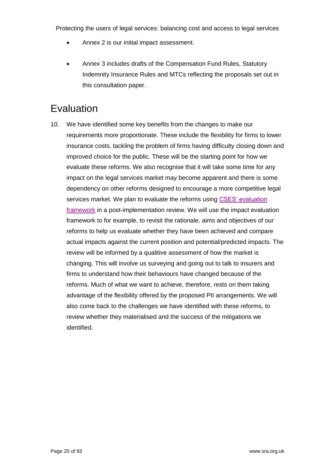- Annex 2 is our initial impact assessment.
- Annex 3 includes drafts of the Compensation Fund Rules, Statutory Indemnity Insurance Rules and MTCs reflecting the proposals set out in this consultation paper.

#### <span id="page-19-0"></span>**Evaluation**

10. We have identified some key benefits from the changes to make our requirements more proportionate. These include the flexibility for firms to lower insurance costs, tackling the problem of firms having difficulty closing down and improved choice for the public. These will be the starting point for how we evaluate these reforms. We also recognise that it will take some time for any impact on the legal services market may become apparent and there is some dependency on other reforms designed to encourage a more competitive legal services market. We plan to evaluate the reforms using [CSES' evaluation](http://www.sra.org.uk/sra/policy/future/resources.page)  [framework](http://www.sra.org.uk/sra/policy/future/resources.page) in a post-implementation review. We will use the impact evaluation framework to for example, to revisit the rationale, aims and objectives of our reforms to help us evaluate whether they have been achieved and compare actual impacts against the current position and potential/predicted impacts. The review will be informed by a qualitive assessment of how the market is changing. This will involve us surveying and going out to talk to insurers and firms to understand how their behaviours have changed because of the reforms. Much of what we want to achieve, therefore, rests on them taking advantage of the flexibility offered by the proposed PII arrangements. We will also come back to the challenges we have identified with these reforms, to review whether they materialised and the success of the mitigations we identified.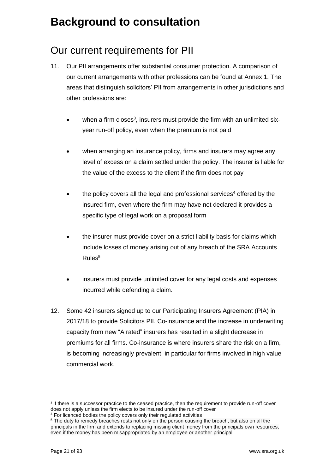#### <span id="page-20-1"></span><span id="page-20-0"></span>Our current requirements for PII

- 11. Our PII arrangements offer substantial consumer protection. A comparison of our current arrangements with other professions can be found at Annex 1. The areas that distinguish solicitors' PII from arrangements in other jurisdictions and other professions are:
	- $\bullet$  when a firm closes<sup>3</sup>, insurers must provide the firm with an unlimited sixyear run-off policy, even when the premium is not paid
	- when arranging an insurance policy, firms and insurers may agree any level of excess on a claim settled under the policy. The insurer is liable for the value of the excess to the client if the firm does not pay
	- the policy covers all the legal and professional services<sup>4</sup> offered by the insured firm, even where the firm may have not declared it provides a specific type of legal work on a proposal form
	- the insurer must provide cover on a strict liability basis for claims which include losses of money arising out of any breach of the SRA Accounts  $Rules<sup>5</sup>$
	- insurers must provide unlimited cover for any legal costs and expenses incurred while defending a claim.
- 12. Some 42 insurers signed up to our Participating Insurers Agreement (PIA) in 2017/18 to provide Solicitors PII. Co-insurance and the increase in underwriting capacity from new "A rated" insurers has resulted in a slight decrease in premiums for all firms. Co-insurance is where insurers share the risk on a firm, is becoming increasingly prevalent, in particular for firms involved in high value commercial work.

<sup>3</sup> If there is a successor practice to the ceased practice, then the requirement to provide run-off cover does not apply unless the firm elects to be insured under the run-off cover

<sup>&</sup>lt;sup>4</sup> For licenced bodies the policy covers only their regulated activities

<sup>5</sup> The duty to remedy breaches rests not only on the person causing the breach, but also on all the [principals](javascript:handleLink() in the firm and extends to replacing missing client [money](javascript:handleLink() from the principals own resources, even if the money has been misappropriated by an employee or another [principal](javascript:handleLink()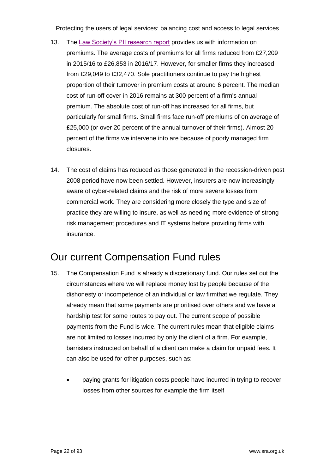- 13. The [Law Society's PII research report](http://www.lawsociety.org.uk/support-services/risk-compliance/pii/surveys/) provides us with information on premiums. The average costs of premiums for all firms reduced from £27,209 in 2015/16 to £26,853 in 2016/17. However, for smaller firms they increased from £29,049 to £32,470. Sole practitioners continue to pay the highest proportion of their turnover in premium costs at around 6 percent. The median cost of run-off cover in 2016 remains at 300 percent of a firm's annual premium. The absolute cost of run-off has increased for all firms, but particularly for small firms. Small firms face run-off premiums of on average of £25,000 (or over 20 percent of the annual turnover of their firms). Almost 20 percent of the firms we intervene into are because of poorly managed firm closures.
- 14. The cost of claims has reduced as those generated in the recession-driven post 2008 period have now been settled. However, insurers are now increasingly aware of cyber-related claims and the risk of more severe losses from commercial work. They are considering more closely the type and size of practice they are willing to insure, as well as needing more evidence of strong risk management procedures and IT systems before providing firms with insurance.

#### <span id="page-21-0"></span>Our current Compensation Fund rules

- 15. The Compensation Fund is already a discretionary fund. Our rules set out the circumstances where we will replace money lost by people because of the dishonesty or incompetence of an individual or law firmthat we regulate. They already mean that some payments are prioritised over others and we have a hardship test for some routes to pay out. The current scope of possible payments from the Fund is wide. The current rules mean that eligible claims are not limited to losses incurred by only the client of a firm. For example, barristers instructed on behalf of a client can make a claim for unpaid fees. It can also be used for other purposes, such as:
	- paying grants for litigation costs people have incurred in trying to recover losses from other sources for example the firm itself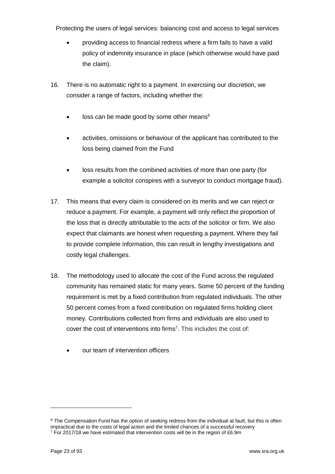- providing access to financial redress where a firm fails to have a valid policy of indemnity insurance in place (which otherwise would have paid the claim).
- 16. There is no automatic right to a payment. In exercising our discretion, we consider a range of factors, including whether the:
	- loss can be made good by some other means<sup>6</sup>
	- activities, omissions or behaviour of the applicant has contributed to the loss being claimed from the Fund
	- loss results from the combined activities of more than one party (for example a solicitor conspires with a surveyor to conduct mortgage fraud).
- 17. This means that every claim is considered on its merits and we can reject or reduce a payment. For example, a payment will only reflect the proportion of the loss that is directly attributable to the acts of the solicitor or firm. We also expect that claimants are honest when requesting a payment. Where they fail to provide complete information, this can result in lengthy investigations and costly legal challenges.
- 18. The methodology used to allocate the cost of the Fund across the regulated community has remained static for many years. Some 50 percent of the funding requirement is met by a fixed contribution from regulated individuals. The other 50 percent comes from a fixed contribution on regulated firms holding client money. Contributions collected from firms and individuals are also used to cover the cost of interventions into firms<sup>7</sup>. This includes the cost of:
	- our team of intervention officers

 $\overline{a}$ 

 $6$  The Compensation Fund has the option of seeking redress from the individual at fault, but this is often impractical due to the costs of legal action and the limited chances of a successful recovery

 $7$  For 2017/18 we have estimated that intervention costs will be in the region of £6.9m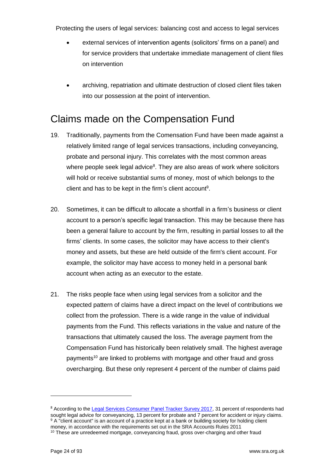- external services of intervention agents (solicitors' firms on a panel) and for service providers that undertake immediate management of client files on intervention
- archiving, repatriation and ultimate destruction of closed client files taken into our possession at the point of intervention.

#### <span id="page-23-0"></span>Claims made on the Compensation Fund

- 19. Traditionally, payments from the Comensation Fund have been made against a relatively limited range of legal services transactions, including conveyancing, probate and personal injury. This correlates with the most common areas where people seek legal advice<sup>8</sup>. They are also areas of work where solicitors will hold or receive substantial sums of money, most of which belongs to the client and has to be kept in the firm's client account<sup>9</sup>.
- 20. Sometimes, it can be difficult to allocate a shortfall in a firm's business or client account to a person's specific legal transaction. This may be because there has been a general failure to account by the firm, resulting in partial losses to all the firms' clients. In some cases, the solicitor may have access to their client's money and assets, but these are held outside of the firm's client account. For example, the solicitor may have access to money held in a personal bank account when acting as an executor to the estate.
- 21. The risks people face when using legal services from a solicitor and the expected pattern of claims have a direct impact on the level of contributions we collect from the profession. There is a wide range in the value of individual payments from the Fund. This reflects variations in the value and nature of the transactions that ultimately caused the loss. The average payment from the Compensation Fund has historically been relatively small. The highest average payments <sup>10</sup> are linked to problems with mortgage and other fraud and gross overcharging. But these only represent 4 percent of the number of claims paid

 $\overline{a}$ 

<sup>&</sup>lt;sup>8</sup> According to the [Legal Services Consumer Panel Tracker Survey 2017,](http://www.legalservicesconsumerpanel.org.uk/publications/research_and_reports/index.html) 31 percent of respondents had sought legal advice for conveyancing, 13 percent for probate and 7 percent for accident or injury claims. 9 A "client account" is an account of a practice kept at a [bank](javascript:handleLink() o[r building](javascript:handleLink() society for holding [client](javascript:handleLink() [money,](javascript:handleLink() in accordance with the requirements set out in the SRA Accounts Rules 2011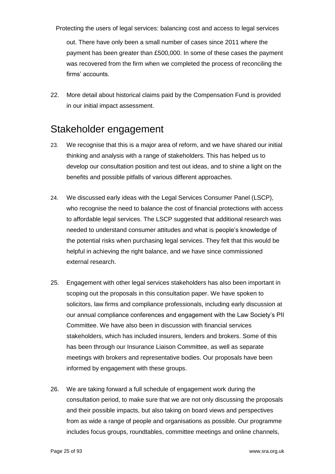out. There have only been a small number of cases since 2011 where the payment has been greater than £500,000. In some of these cases the payment was recovered from the firm when we completed the process of reconciling the firms' accounts.

22. More detail about historical claims paid by the Compensation Fund is provided in our initial impact assessment.

#### <span id="page-24-0"></span>Stakeholder engagement

- 23. We recognise that this is a major area of reform, and we have shared our initial thinking and analysis with a range of stakeholders. This has helped us to develop our consultation position and test out ideas, and to shine a light on the benefits and possible pitfalls of various different approaches.
- 24. We discussed early ideas with the Legal Services Consumer Panel (LSCP), who recognise the need to balance the cost of financial protections with access to affordable legal services. The LSCP suggested that additional research was needed to understand consumer attitudes and what is people's knowledge of the potential risks when purchasing legal services. They felt that this would be helpful in achieving the right balance, and we have since commissioned external research.
- 25. Engagement with other legal services stakeholders has also been important in scoping out the proposals in this consultation paper. We have spoken to solicitors, law firms and compliance professionals, including early discussion at our annual compliance conferences and engagement with the Law Society's PII Committee. We have also been in discussion with financial services stakeholders, which has included insurers, lenders and brokers. Some of this has been through our Insurance Liaison Committee, as well as separate meetings with brokers and representative bodies. Our proposals have been informed by engagement with these groups.
- 26. We are taking forward a full schedule of engagement work during the consultation period, to make sure that we are not only discussing the proposals and their possible impacts, but also taking on board views and perspectives from as wide a range of people and organisations as possible. Our programme includes focus groups, roundtables, committee meetings and online channels,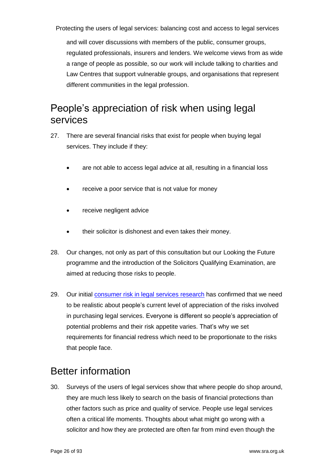and will cover discussions with members of the public, consumer groups, regulated professionals, insurers and lenders. We welcome views from as wide a range of people as possible, so our work will include talking to charities and Law Centres that support vulnerable groups, and organisations that represent different communities in the legal profession.

#### <span id="page-25-0"></span>People's appreciation of risk when using legal services

- 27. There are several financial risks that exist for people when buying legal services. They include if they:
	- are not able to access legal advice at all, resulting in a financial loss
	- receive a poor service that is not value for money
	- receive negligent advice
	- their solicitor is dishonest and even takes their money.
- 28. Our changes, not only as part of this consultation but our Looking the Future programme and the introduction of the Solicitors Qualifying Examination, are aimed at reducing those risks to people.
- 29. Our initial [consumer risk in legal services research](https://www.sra.org.uk/sra/consultations/access-legal-services.page#download) has confirmed that we need to be realistic about people's current level of appreciation of the risks involved in purchasing legal services. Everyone is different so people's appreciation of potential problems and their risk appetite varies. That's why we set requirements for financial redress which need to be proportionate to the risks that people face.

#### <span id="page-25-1"></span>Better information

30. Surveys of the users of legal services show that where people do shop around, they are much less likely to search on the basis of financial protections than other factors such as price and quality of service. People use legal services often a critical life moments. Thoughts about what might go wrong with a solicitor and how they are protected are often far from mind even though the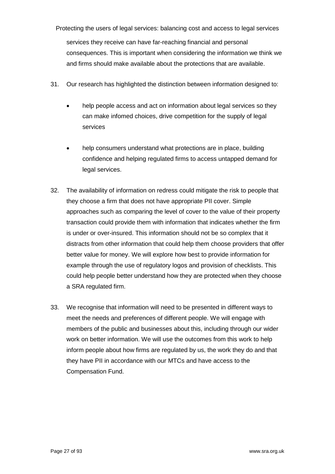Protecting the users of legal services: balancing cost and access to legal services services they receive can have far-reaching financial and personal consequences. This is important when considering the information we think we and firms should make available about the protections that are available.

- 31. Our research has highlighted the distinction between information designed to:
	- help people access and act on information about legal services so they can make infomed choices, drive competition for the supply of legal services
	- help consumers understand what protections are in place, building confidence and helping regulated firms to access untapped demand for legal services.
- 32. The availability of information on redress could mitigate the risk to people that they choose a firm that does not have appropriate PII cover. Simple approaches such as comparing the level of cover to the value of their property transaction could provide them with information that indicates whether the firm is under or over-insured. This information should not be so complex that it distracts from other information that could help them choose providers that offer better value for money. We will explore how best to provide information for example through the use of regulatory logos and provision of checklists. This could help people better understand how they are protected when they choose a SRA regulated firm.
- 33. We recognise that information will need to be presented in different ways to meet the needs and preferences of different people. We will engage with members of the public and businesses about this, including through our wider work on better information. We will use the outcomes from this work to help inform people about how firms are regulated by us, the work they do and that they have PII in accordance with our MTCs and have access to the Compensation Fund.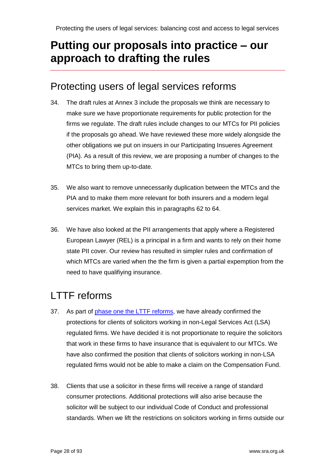## <span id="page-27-0"></span>**Putting our proposals into practice – our approach to drafting the rules**

#### <span id="page-27-1"></span>Protecting users of legal services reforms

- 34. The draft rules at Annex 3 include the proposals we think are necessary to make sure we have proportionate requirements for public protection for the firms we regulate. The draft rules include changes to our MTCs for PII policies if the proposals go ahead. We have reviewed these more widely alongside the other obligations we put on insuers in our Participating Insueres Agreement (PIA). As a result of this review, we are proposing a number of changes to the MTCs to bring them up-to-date.
- 35. We also want to remove unnecessarily duplication between the MTCs and the PIA and to make them more relevant for both insurers and a modern legal services market. We explain this in paragraphs 62 to 64.
- 36. We have also looked at the PII arrangements that apply where a Registered European Lawyer (REL) is a principal in a firm and wants to rely on their home state PII cover. Our review has resulted in simpler rules and confirmation of which MTCs are varied when the the firm is given a partial expemption from the need to have qualifiying insurance.

## <span id="page-27-2"></span>LTTF reforms

- 37. As part of phase one [the LTTF reforms,](http://www.sra.org.uk/sra/consultations/code-conduct-consultation.page) we have already confirmed the protections for clients of solicitors working in non-Legal Services Act (LSA) regulated firms. We have decided it is not proportionate to require the solicitors that work in these firms to have insurance that is equivalent to our MTCs. We have also confirmed the position that clients of solicitors working in non-LSA regulated firms would not be able to make a claim on the Compensation Fund.
- 38. Clients that use a solicitor in these firms will receive a range of standard consumer protections. Additional protections will also arise because the solicitor will be subject to our individual Code of Conduct and professional standards. When we lift the restrictions on solicitors working in firms outside our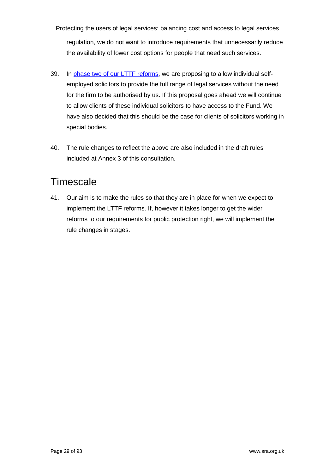Protecting the users of legal services: balancing cost and access to legal services regulation, we do not want to introduce requirements that unnecessarily reduce the availability of lower cost options for people that need such services.

- 39. In [phase two of our LTTF reforms,](https://www.sra.org.uk/sra/consultations/lttf-phase-two-handbook-reform.page) we are proposing to allow individual selfemployed solicitors to provide the full range of legal services without the need for the firm to be authorised by us. If this proposal goes ahead we will continue to allow clients of these individual solicitors to have access to the Fund. We have also decided that this should be the case for clients of solicitors working in special bodies.
- 40. The rule changes to reflect the above are also included in the draft rules included at Annex 3 of this consultation.

#### <span id="page-28-0"></span>**Timescale**

41. Our aim is to make the rules so that they are in place for when we expect to implement the LTTF reforms. If, however it takes longer to get the wider reforms to our requirements for public protection right, we will implement the rule changes in stages.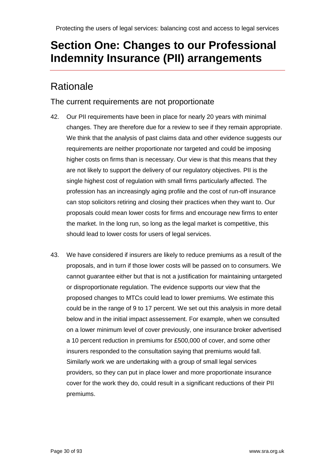## <span id="page-29-0"></span>**Section One: Changes to our Professional Indemnity Insurance (PII) arrangements**

#### <span id="page-29-1"></span>**Rationale**

#### The current requirements are not proportionate

- 42. Our PII requirements have been in place for nearly 20 years with minimal changes. They are therefore due for a review to see if they remain appropriate. We think that the analysis of past claims data and other evidence suggests our requirements are neither proportionate nor targeted and could be imposing higher costs on firms than is necessary. Our view is that this means that they are not likely to support the delivery of our regulatory objectives. PII is the single highest cost of regulation with small firms particularly affected. The profession has an increasingly aging profile and the cost of run-off insurance can stop solicitors retiring and closing their practices when they want to. Our proposals could mean lower costs for firms and encourage new firms to enter the market. In the long run, so long as the legal market is competitive, this should lead to lower costs for users of legal services.
- 43. We have considered if insurers are likely to reduce premiums as a result of the proposals, and in turn if those lower costs will be passed on to consumers. We cannot guarantee either but that is not a justification for maintaining untargeted or disproportionate regulation. The evidence supports our view that the proposed changes to MTCs could lead to lower premiums. We estimate this could be in the range of 9 to 17 percent. We set out this analysis in more detail below and in the initial impact assessement. For example, when we consulted on a lower minimum level of cover previously, one insurance broker advertised a 10 percent reduction in premiums for £500,000 of cover, and some other insurers responded to the consultation saying that premiums would fall. Similarly work we are undertaking with a group of small legal services providers, so they can put in place lower and more proportionate insurance cover for the work they do, could result in a significant reductions of their PII premiums.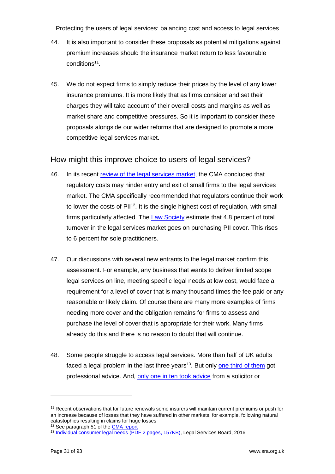- 44. It is also important to consider these proposals as potential mitigations against premium increases should the insurance market return to less favourable conditions<sup>11</sup>.
- 45. We do not expect firms to simply reduce their prices by the level of any lower insurance premiums. It is more likely that as firms consider and set their charges they will take account of their overall costs and margins as well as market share and competitive pressures. So it is important to consider these proposals alongside our wider reforms that are designed to promote a more competitive legal services market.

#### How might this improve choice to users of legal services?

- 46. In its recent review [of the legal services market,](https://www.gov.uk/cma-cases/legal-services-market-study) the CMA concluded that regulatory costs may hinder entry and exit of small firms to the legal services market. The CMA specifically recommended that regulators continue their work to lower the costs of  $PII^{12}$ . It is the single highest cost of regulation, with small firms particularly affected. The [Law Society](http://www.lawsociety.org.uk/Support-services/Research-trends/docs/PII-survey-2016-17-report/) estimate that 4.8 percent of total turnover in the legal services market goes on purchasing PII cover. This rises to 6 percent for sole practitioners.
- 47. Our discussions with several new entrants to the legal market confirm this assessment. For example, any business that wants to deliver limited scope legal services on line, meeting specific legal needs at low cost, would face a requirement for a level of cover that is many thousand times the fee paid or any reasonable or likely claim. Of course there are many more examples of firms needing more cover and the obligation remains for firms to assess and purchase the level of cover that is appropriate for their work. Many firms already do this and there is no reason to doubt that will continue.
- 48. Some people struggle to access legal services. More than half of UK adults faced a legal problem in the last three years<sup>13</sup>. But only [one third of them](https://www.gov.uk/government/publications/legal-problem-and-resolution-survey-2014-to-2015) got professional advice. And, [only one in ten took advice](https://www.lawsociety.org.uk/support-services/research-trends/documents/legal-needs-survey-online-survey-inviduals-handling-legal-issues-may-2016/) from a solicitor or

 $\overline{a}$ 

<sup>&</sup>lt;sup>11</sup> Recent observations that for future renewals some insurers will maintain current premiums or push for an increase because of losses that they have suffered in other markets, for example, following natural catastophies resulting in claims for huge losses <sup>12</sup> See paragraph 51 of th[e CMA report](https://www.gov.uk/cma-cases/legal-services-market-study)

<sup>13</sup> [Individual consumer legal needs \(PDF 2 pages, 157KB\),](https://research.legalservicesboard.org.uk/wp-content/media/Research-summary_ILNS_v2-FINAL.pdf) Legal Services Board, 2016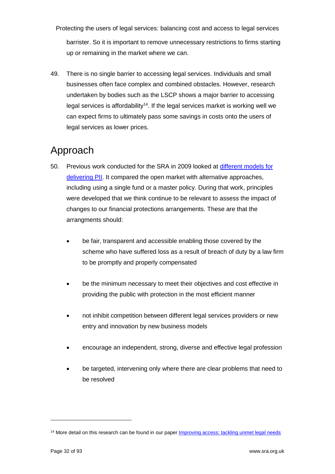Protecting the users of legal services: balancing cost and access to legal services barrister. So it is important to remove unnecessary restrictions to firms starting up or remaining in the market where we can.

49. There is no single barrier to accessing legal services. Individuals and small businesses often face complex and combined obstacles. However, research undertaken by bodies such as the LSCP shows a major barrier to accessing legal services is affordability<sup>14</sup>. If the legal services market is working well we can expect firms to ultimately pass some savings in costs onto the users of legal services as lower prices.

#### <span id="page-31-0"></span>Approach

- 50. Previous work conducted for the SRA in 2009 looked at [different models for](https://www.sra.org.uk/documents/SRA/cra-report-on-sra-financial-protection-arrangements.pdf)  [delivering PII.](https://www.sra.org.uk/documents/SRA/cra-report-on-sra-financial-protection-arrangements.pdf) It compared the open market with alternative approaches, including using a single fund or a master policy. During that work, principles were developed that we think continue to be relevant to assess the impact of changes to our financial protections arrangements. These are that the arrangments should:
	- be fair, transparent and accessible enabling those covered by the scheme who have suffered loss as a result of breach of duty by a law firm to be promptly and properly compensated
	- be the minimum necessary to meet their objectives and cost effective in providing the public with protection in the most efficient manner
	- not inhibit competition between different legal services providers or new entry and innovation by new business models
	- encourage an independent, strong, diverse and effective legal profession
	- be targeted, intervening only where there are clear problems that need to be resolved

 $\overline{a}$ 

<sup>&</sup>lt;sup>14</sup> More detail on this research can be found in our paper [Improving access: tackling unmet legal needs](http://www.sra.org.uk/risk/resources/legal-needs.page)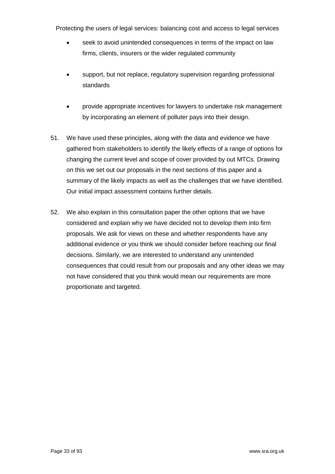- seek to avoid unintended consequences in terms of the impact on law firms, clients, insurers or the wider regulated community
- support, but not replace, regulatory supervision regarding professional standards
- provide appropriate incentives for lawyers to undertake risk management by incorporating an element of polluter pays into their design.
- 51. We have used these principles, along with the data and evidence we have gathered from stakeholders to identify the likely effects of a range of options for changing the current level and scope of cover provided by out MTCs. Drawing on this we set out our proposals in the next sections of this paper and a summary of the likely impacts as well as the challenges that we have identified. Our initial impact assessment contains further details.
- 52. We also explain in this consultation paper the other options that we have considered and explain why we have decided not to develop them into firm proposals. We ask for views on these and whether respondents have any additional evidence or you think we should consider before reaching our final decisions. Similarly, we are interested to understand any unintended consequences that could result from our proposals and any other ideas we may not have considered that you think would mean our requirements are more proportionate and targeted.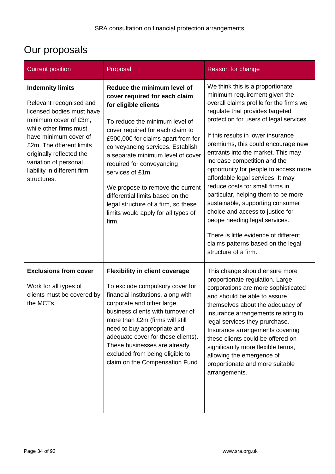# <span id="page-33-0"></span>Our proposals

| <b>Current position</b>                                                                                                                                                                                                                                                                    | Proposal                                                                                                                                                                                                                                                                                                                                                                                                                                                                                  | Reason for change                                                                                                                                                                                                                                                                                                                                                                                                                                                                                                                                                                                                                                                                                                    |
|--------------------------------------------------------------------------------------------------------------------------------------------------------------------------------------------------------------------------------------------------------------------------------------------|-------------------------------------------------------------------------------------------------------------------------------------------------------------------------------------------------------------------------------------------------------------------------------------------------------------------------------------------------------------------------------------------------------------------------------------------------------------------------------------------|----------------------------------------------------------------------------------------------------------------------------------------------------------------------------------------------------------------------------------------------------------------------------------------------------------------------------------------------------------------------------------------------------------------------------------------------------------------------------------------------------------------------------------------------------------------------------------------------------------------------------------------------------------------------------------------------------------------------|
| <b>Indemnity limits</b><br>Relevant recognised and<br>licensed bodies must have<br>minimum cover of £3m,<br>while other firms must<br>have minimum cover of<br>£2m. The dfferent limits<br>originally reflected the<br>variation of personal<br>liability in different firm<br>structures. | Reduce the minimum level of<br>cover required for each claim<br>for eligible clients<br>To reduce the minimum level of<br>cover required for each claim to<br>£500,000 for claims apart from for<br>conveyancing services. Establish<br>a separate minimum level of cover<br>required for conveyancing<br>services of £1m.<br>We propose to remove the current<br>differential limits based on the<br>legal structure of a firm, so these<br>limits would apply for all types of<br>firm. | We think this is a proportionate<br>minimum requirement given the<br>overall claims profile for the firms we<br>regulate that provides targeted<br>protection for users of legal services.<br>If this results in lower insurance<br>premiums, this could encourage new<br>entrants into the market. This may<br>increase competition and the<br>opportunity for people to access more<br>affordable legal services. It may<br>reduce costs for small firms in<br>particular, helping them to be more<br>sustainable, supporting consumer<br>choice and access to justice for<br>peope needing legal services.<br>There is little evidence of different<br>claims patterns based on the legal<br>structure of a firm. |
| <b>Exclusions from cover</b><br>Work for all types of<br>clients must be covered by<br>the MCTs.                                                                                                                                                                                           | <b>Flexibility in client coverage</b><br>To exclude compulsory cover for<br>financial institutions, along with<br>corporate and other large<br>business clients with turnover of<br>more than £2m (firms will still<br>need to buy appropriate and<br>adequate cover for these clients).<br>These businesses are already<br>excluded from being eligible to<br>claim on the Compensation Fund.                                                                                            | This change should ensure more<br>proportionate regulation. Large<br>corporations are more sophisticated<br>and should be able to assure<br>themselves about the adequacy of<br>insurance arrangements relating to<br>legal services they prurchase.<br>Insurance arrangements covering<br>these clients could be offered on<br>significantly more flexible terms,<br>allowing the emergence of<br>proportionate and more suitable<br>arrangements.                                                                                                                                                                                                                                                                  |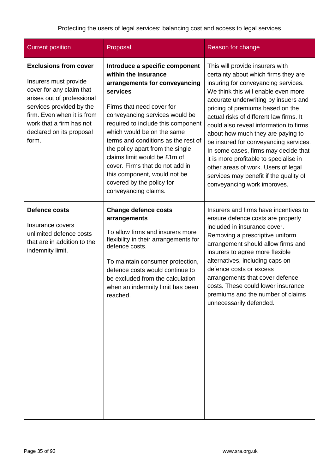| <b>Current position</b>                                                                                                                                                                                                                    | Proposal                                                                                                                                                                                                                                                                                                                                                                                                                                                                  | Reason for change                                                                                                                                                                                                                                                                                                                                                                                                                                                                                                                                                                                      |
|--------------------------------------------------------------------------------------------------------------------------------------------------------------------------------------------------------------------------------------------|---------------------------------------------------------------------------------------------------------------------------------------------------------------------------------------------------------------------------------------------------------------------------------------------------------------------------------------------------------------------------------------------------------------------------------------------------------------------------|--------------------------------------------------------------------------------------------------------------------------------------------------------------------------------------------------------------------------------------------------------------------------------------------------------------------------------------------------------------------------------------------------------------------------------------------------------------------------------------------------------------------------------------------------------------------------------------------------------|
| <b>Exclusions from cover</b><br>Insurers must provide<br>cover for any claim that<br>arises out of professional<br>services provided by the<br>firm. Even when it is from<br>work that a firm has not<br>declared on its proposal<br>form. | Introduce a specific component<br>within the insurance<br>arrangements for conveyancing<br>services<br>Firms that need cover for<br>conveyancing services would be<br>required to include this component<br>which would be on the same<br>terms and conditions as the rest of<br>the policy apart from the single<br>claims limit would be £1m of<br>cover. Firms that do not add in<br>this component, would not be<br>covered by the policy for<br>conveyancing claims. | This will provide insurers with<br>certainty about which firms they are<br>insuring for conveyancing services.<br>We think this will enable even more<br>accurate underwriting by insuers and<br>pricing of premiums based on the<br>actual risks of different law firms. It<br>could also reveal information to firms<br>about how much they are paying to<br>be insured for conveyancing services.<br>In some cases, firms may decide that<br>it is more profitable to specialise in<br>other areas of work. Users of legal<br>services may benefit if the quality of<br>conveyancing work improves. |
| <b>Defence costs</b><br>Insurance covers<br>unlimited defence costs<br>that are in addition to the<br>indemnity limit.                                                                                                                     | <b>Change defence costs</b><br>arrangements<br>To allow firms and insurers more<br>flexibility in their arrangements for<br>defence costs.<br>To maintain consumer protection,<br>defence costs would continue to<br>be excluded from the calculation<br>when an indemnity limit has been<br>reached.                                                                                                                                                                     | Insurers and firms have incentives to<br>ensure defence costs are properly<br>included in insurance cover.<br>Removing a prescriptive uniform<br>arrangement should allow firms and<br>insurers to agree more flexible<br>alternatives, including caps on<br>defence costs or excess<br>arrangements that cover defence<br>costs. These could lower insurance<br>premiums and the number of claims<br>unnecessarily defended.                                                                                                                                                                          |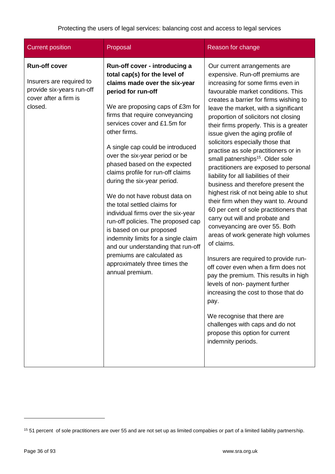| <b>Current position</b>                                                                                           | Proposal                                                                                                                                                                                                                                                                                                                                                                                                                                                                                                                                                                                                                                                                                                                                                       | Reason for change                                                                                                                                                                                                                                                                                                                                                                                                                                                                                                                                                                                                                                                                                                                                                                                                                                                                                                                                                                                                                                                                                                                                                                                   |
|-------------------------------------------------------------------------------------------------------------------|----------------------------------------------------------------------------------------------------------------------------------------------------------------------------------------------------------------------------------------------------------------------------------------------------------------------------------------------------------------------------------------------------------------------------------------------------------------------------------------------------------------------------------------------------------------------------------------------------------------------------------------------------------------------------------------------------------------------------------------------------------------|-----------------------------------------------------------------------------------------------------------------------------------------------------------------------------------------------------------------------------------------------------------------------------------------------------------------------------------------------------------------------------------------------------------------------------------------------------------------------------------------------------------------------------------------------------------------------------------------------------------------------------------------------------------------------------------------------------------------------------------------------------------------------------------------------------------------------------------------------------------------------------------------------------------------------------------------------------------------------------------------------------------------------------------------------------------------------------------------------------------------------------------------------------------------------------------------------------|
| <b>Run-off cover</b><br>Insurers are required to<br>provide six-years run-off<br>cover after a firm is<br>closed. | Run-off cover - introducing a<br>total cap(s) for the level of<br>claims made over the six-year<br>period for run-off<br>We are proposing caps of £3m for<br>firms that require conveyancing<br>services cover and £1.5m for<br>other firms.<br>A single cap could be introduced<br>over the six-year period or be<br>phased based on the expected<br>claims profile for run-off claims<br>during the six-year period.<br>We do not have robust data on<br>the total settled claims for<br>individual firms over the six-year<br>run-off policies. The proposed cap<br>is based on our proposed<br>indemnity limits for a single claim<br>and our understanding that run-off<br>premiums are calculated as<br>approximately three times the<br>annual premium. | Our current arrangements are<br>expensive. Run-off premiums are<br>increasing for some firms even in<br>favourable market conditions. This<br>creates a barrier for firms wishing to<br>leave the market, with a significant<br>proportion of solicitors not closing<br>their firms properly. This is a greater<br>issue given the aging profile of<br>solicitors especially those that<br>practise as sole practitioners or in<br>small patnerships <sup>15</sup> . Older sole<br>practitioners are exposed to personal<br>liability for all liabilities of their<br>business and therefore present the<br>highest risk of not being able to shut<br>their firm when they want to. Around<br>60 per cent of sole practitioners that<br>carry out will and probate and<br>conveyancing are over 55. Both<br>areas of work generate high volumes<br>of claims.<br>Insurers are required to provide run-<br>off cover even when a firm does not<br>pay the premium. This results in high<br>levels of non- payment further<br>increasing the cost to those that do<br>pay.<br>We recognise that there are<br>challenges with caps and do not<br>propose this option for current<br>indemnity periods. |

 $\overline{a}$ 

<sup>&</sup>lt;sup>15</sup> 51 percent of sole practitioners are over 55 and are not set up as limited compabies or part of a limited liability partnership.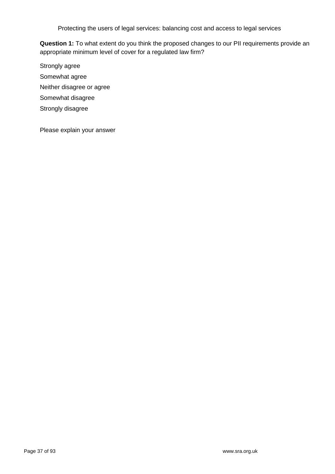**Question 1:** To what extent do you think the proposed changes to our PII requirements provide an appropriate minimum level of cover for a regulated law firm?

Strongly agree Somewhat agree Neither disagree or agree Somewhat disagree Strongly disagree

Please explain your answer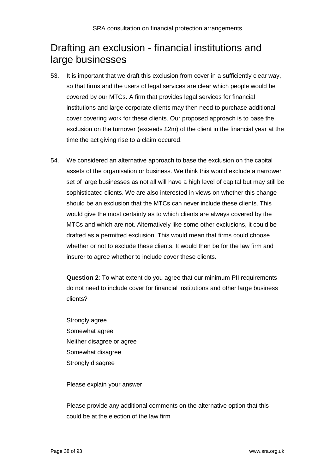## Drafting an exclusion - financial institutions and large businesses

- 53. It is important that we draft this exclusion from cover in a sufficiently clear way, so that firms and the users of legal services are clear which people would be covered by our MTCs. A firm that provides legal services for financial institutions and large corporate clients may then need to purchase additional cover covering work for these clients. Our proposed approach is to base the exclusion on the turnover (exceeds £2m) of the client in the financial year at the time the act giving rise to a claim occured.
- 54. We considered an alternative approach to base the exclusion on the capital assets of the organisation or business. We think this would exclude a narrower set of large businesses as not all will have a high level of capital but may still be sophisticated clients. We are also interested in views on whether this change should be an exclusion that the MTCs can never include these clients. This would give the most certainty as to which clients are always covered by the MTCs and which are not. Alternatively like some other exclusions, it could be drafted as a permitted exclusion. This would mean that firms could choose whether or not to exclude these clients. It would then be for the law firm and insurer to agree whether to include cover these clients.

**Question 2**: To what extent do you agree that our minimum PII requirements do not need to include cover for financial institutions and other large business clients?

Strongly agree Somewhat agree Neither disagree or agree Somewhat disagree Strongly disagree

Please explain your answer

Please provide any additional comments on the alternative option that this could be at the election of the law firm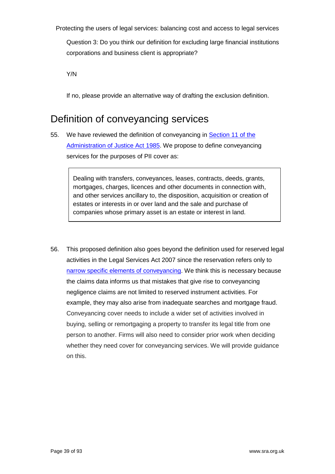Question 3: Do you think our definition for excluding large financial institutions corporations and business client is appropriate?

Y/N

If no, please provide an alternative way of drafting the exclusion definition.

## Definition of conveyancing services

55. We have reviewed the definition of conveyancing in **Section 11 of the** [Administration of Justice Act 1985.](http://www.legislation.gov.uk/ukpga/1985/61/section/11) We propose to define conveyancing services for the purposes of PII cover as:

> Dealing with transfers, conveyances, leases, contracts, deeds, grants, mortgages, charges, licences and other documents in connection with, and other services ancillary to, the disposition, acquisition or creation of estates or interests in or over land and the sale and purchase of companies whose primary asset is an estate or interest in land.

56. This proposed definition also goes beyond the definition used for reserved legal activities in the Legal Services Act 2007 since the reservation refers only to [narrow specific elements of conveyancing.](http://www.legislation.gov.uk/ukpga/2007/29/schedule/2/crossheading/reserved-instrument-activities) We think this is necessary because the claims data informs us that mistakes that give rise to conveyancing negligence claims are not limited to reserved instrument activities. For example, they may also arise from inadequate searches and mortgage fraud. Conveyancing cover needs to include a wider set of activities involved in buying, selling or remortgaging a property to transfer its legal title from one person to another. Firms will also need to consider prior work when deciding whether they need cover for conveyancing services. We will provide guidance on this.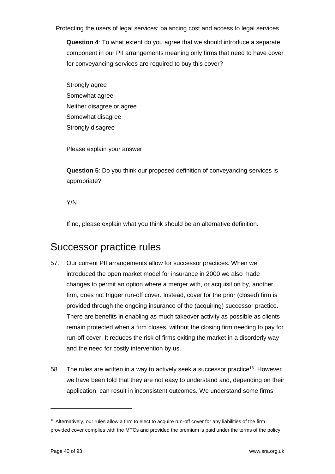**Question 4**: To what extent do you agree that we should introduce a separate component in our PII arrangements meaning only firms that need to have cover for conveyancing services are required to buy this cover?

Strongly agree Somewhat agree Neither disagree or agree Somewhat disagree Strongly disagree

Please explain your answer

**Question 5**: Do you think our proposed definition of conveyancing services is appropriate?

Y/N

If no, please explain what you think should be an alternative definition.

## Successor practice rules

- 57. Our current PII arrangements allow for successor practices. When we introduced the open market model for insurance in 2000 we also made changes to permit an option where a merger with, or acquisition by, another firm, does not trigger run-off cover. Instead, cover for the prior (closed) firm is provided through the ongoing insurance of the (acquiring) successor practice. There are benefits in enabling as much takeover activity as possible as clients remain protected when a firm closes, without the closing firm needing to pay for run-off cover. It reduces the risk of firms exiting the market in a disorderly way and the need for costly intervention by us.
- 58. The rules are written in a way to actively seek a successor practice<sup>16</sup>. However we have been told that they are not easy to understand and, depending on their application, can result in inconsistent outcomes. We understand some firms

<sup>&</sup>lt;sup>16</sup> Alternatively, our rules allow a firm to elect to acquire run-off cover for any liabilities of the firm provided cover complies with the MTCs and provided the premium is paid under the terms of the policy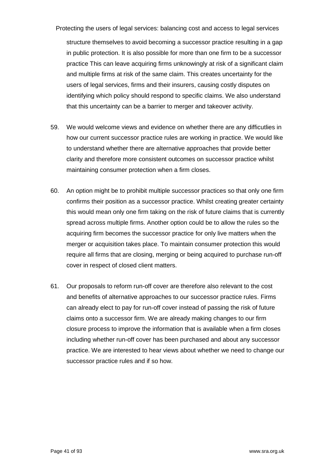structure themselves to avoid becoming a successor practice resulting in a gap in public protection. It is also possible for more than one firm to be a successor practice This can leave acquiring firms unknowingly at risk of a significant claim and multiple firms at risk of the same claim. This creates uncertainty for the users of legal services, firms and their insurers, causing costly disputes on identifying which policy should respond to specific claims. We also understand that this uncertainty can be a barrier to merger and takeover activity.

- 59. We would welcome views and evidence on whether there are any difficutlies in how our current successor practice rules are working in practice. We would like to understand whether there are alternative approaches that provide better clarity and therefore more consistent outcomes on successor practice whilst maintaining consumer protection when a firm closes.
- 60. An option might be to prohibit multiple successor practices so that only one firm confirms their position as a successor practice. Whilst creating greater certainty this would mean only one firm taking on the risk of future claims that is currently spread across multiple firms. Another option could be to allow the rules so the acquiring firm becomes the successor practice for only live matters when the merger or acquisition takes place. To maintain consumer protection this would require all firms that are closing, merging or being acquired to purchase run-off cover in respect of closed client matters.
- 61. Our proposals to reform run-off cover are therefore also relevant to the cost and benefits of alternative approaches to our successor practice rules. Firms can already elect to pay for run-off cover instead of passing the risk of future claims onto a successor firm. We are already making changes to our firm closure process to improve the information that is available when a firm closes including whether run-off cover has been purchased and about any successor practice. We are interested to hear views about whether we need to change our successor practice rules and if so how.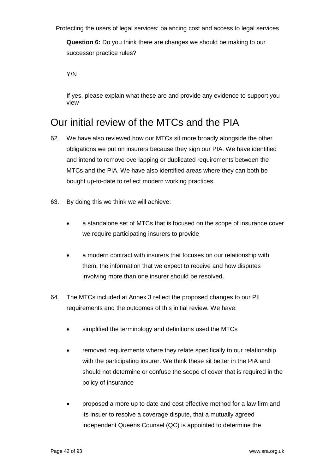**Question 6:** Do you think there are changes we should be making to our successor practice rules?

Y/N

If yes, please explain what these are and provide any evidence to support you view

## Our initial review of the MTCs and the PIA

- 62. We have also reviewed how our MTCs sit more broadly alongside the other obligations we put on insurers because they sign our PIA. We have identified and intend to remove overlapping or duplicated requirements between the MTCs and the PIA. We have also identified areas where they can both be bought up-to-date to reflect modern working practices.
- 63. By doing this we think we will achieve:
	- a standalone set of MTCs that is focused on the scope of insurance cover we require participating insurers to provide
	- a modern contract with insurers that focuses on our relationship with them, the information that we expect to receive and how disputes involving more than one insurer should be resolved.
- 64. The MTCs included at Annex 3 reflect the proposed changes to our PII requirements and the outcomes of this initial review. We have:
	- simplified the terminology and definitions used the MTCs
	- removed requirements where they relate specifically to our relationship with the participating insurer. We think these sit better in the PIA and should not determine or confuse the scope of cover that is required in the policy of insurance
	- proposed a more up to date and cost effective method for a law firm and its insuer to resolve a coverage dispute, that a mutually agreed independent Queens Counsel (QC) is appointed to determine the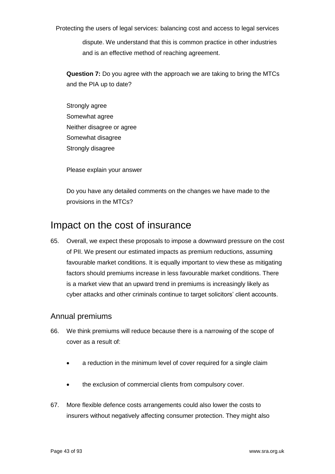dispute. We understand that this is common practice in other industries and is an effective method of reaching agreement.

**Question 7:** Do you agree with the approach we are taking to bring the MTCs and the PIA up to date?

Strongly agree Somewhat agree Neither disagree or agree Somewhat disagree Strongly disagree

Please explain your answer

Do you have any detailed comments on the changes we have made to the provisions in the MTCs?

## Impact on the cost of insurance

65. Overall, we expect these proposals to impose a downward pressure on the cost of PII. We present our estimated impacts as premium reductions, assuming favourable market conditions. It is equally important to view these as mitigating factors should premiums increase in less favourable market conditions. There is a market view that an upward trend in premiums is increasingly likely as cyber attacks and other criminals continue to target solicitors' client accounts.

### Annual premiums

- 66. We think premiums will reduce because there is a narrowing of the scope of cover as a result of:
	- a reduction in the minimum level of cover required for a single claim
	- the exclusion of commercial clients from compulsory cover.
- 67. More flexible defence costs arrangements could also lower the costs to insurers without negatively affecting consumer protection. They might also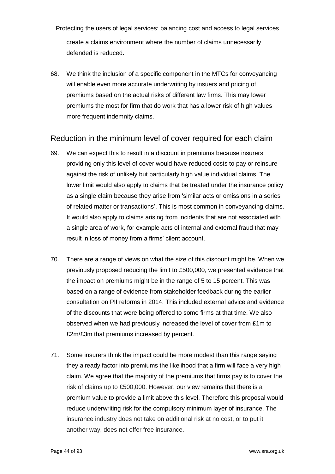Protecting the users of legal services: balancing cost and access to legal services create a claims environment where the number of claims unnecessarily defended is reduced.

68. We think the inclusion of a specific component in the MTCs for conveyancing will enable even more accurate underwriting by insuers and pricing of premiums based on the actual risks of different law firms. This may lower premiums the most for firm that do work that has a lower risk of high values more frequent indemnity claims.

### Reduction in the minimum level of cover required for each claim

- 69. We can expect this to result in a discount in premiums because insurers providing only this level of cover would have reduced costs to pay or reinsure against the risk of unlikely but particularly high value individual claims. The lower limit would also apply to claims that be treated under the insurance policy as a single claim because they arise from 'similar acts or omissions in a series of related matter or transactions'. This is most common in conveyancing claims. It would also apply to claims arising from incidents that are not associated with a single area of work, for example acts of internal and external fraud that may result in loss of money from a firms' client account.
- 70. There are a range of views on what the size of this discount might be. When we previously proposed reducing the limit to £500,000, we presented evidence that the impact on premiums might be in the range of 5 to 15 percent. This was based on a range of evidence from stakeholder feedback during the earlier consultation on PII reforms in 2014. This included external advice and evidence of the discounts that were being offered to some firms at that time. We also observed when we had previously increased the level of cover from £1m to £2m/£3m that premiums increased by percent.
- 71. Some insurers think the impact could be more modest than this range saying they already factor into premiums the likelihood that a firm will face a very high claim. We agree that the majority of the premiums that firms pay is to cover the risk of claims up to £500,000. However, our view remains that there is a premium value to provide a limit above this level. Therefore this proposal would reduce underwriting risk for the compulsory minimum layer of insurance. The insurance industry does not take on additional risk at no cost, or to put it another way, does not offer free insurance.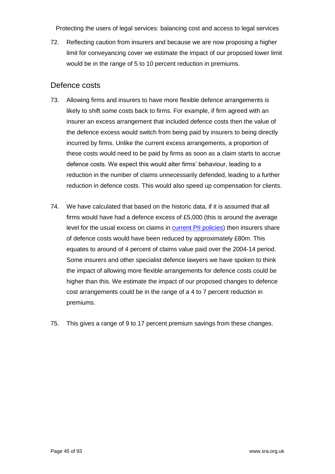72. Reflecting caution from insurers and because we are now proposing a higher limit for conveyancing cover we estimate the impact of our proposed lower limit would be in the range of 5 to 10 percent reduction in premiums.

### Defence costs

- 73. Allowing firms and insurers to have more flexible defence arrangements is likely to shift some costs back to firms. For example, if firm agreed with an insurer an excess arrangement that included defence costs then the value of the defence excess would switch from being paid by insurers to being directly incurred by firms. Unlike the current excess arrangements, a proportion of these costs would need to be paid by firms as soon as a claim starts to accrue defence costs. We expect this would alter firms' behaviour, leading to a reduction in the number of claims unnecessarily defended, leading to a further reduction in defence costs. This would also speed up compensation for clients.
- 74. We have calculated that based on the historic data, if it is assumed that all firms would have had a defence excess of £5,000 (this is around the average level for the usual excess on claims in [current PII policies\)](https://www.lawsociety.org.uk/Support-services/Research-trends/docs/PII-survey-2016-17-report/) then insurers share of defence costs would have been reduced by approximately £80m. This equates to around of 4 percent of claims value paid over the 2004-14 period. Some insurers and other specialist defence lawyers we have spoken to think the impact of allowing more flexible arrangements for defence costs could be higher than this. We estimate the impact of our proposed changes to defence cost arrangements could be in the range of a 4 to 7 percent reduction in premiums.
- 75. This gives a range of 9 to 17 percent premium savings from these changes.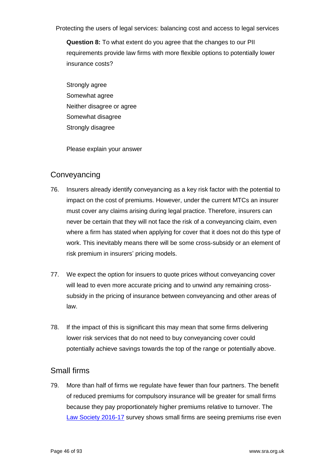**Question 8:** To what extent do you agree that the changes to our PII requirements provide law firms with more flexible options to potentially lower insurance costs?

Strongly agree Somewhat agree Neither disagree or agree Somewhat disagree Strongly disagree

Please explain your answer

### **Conveyancing**

- 76. Insurers already identify conveyancing as a key risk factor with the potential to impact on the cost of premiums. However, under the current MTCs an insurer must cover any claims arising during legal practice. Therefore, insurers can never be certain that they will not face the risk of a conveyancing claim, even where a firm has stated when applying for cover that it does not do this type of work. This inevitably means there will be some cross-subsidy or an element of risk premium in insurers' pricing models.
- 77. We expect the option for insuers to quote prices without conveyancing cover will lead to even more accurate pricing and to unwind any remaining crosssubsidy in the pricing of insurance between conveyancing and other areas of law.
- 78. If the impact of this is significant this may mean that some firms delivering lower risk services that do not need to buy conveyancing cover could potentially achieve savings towards the top of the range or potentially above.

### Small firms

79. More than half of firms we regulate have fewer than four partners. The benefit of reduced premiums for compulsory insurance will be greater for small firms because they pay proportionately higher premiums relative to turnover. The [Law Society 2016-17](https://www.lawsociety.org.uk/Support-services/Research-trends/docs/PII-survey-2016-17-report/) survey shows small firms are seeing premiums rise even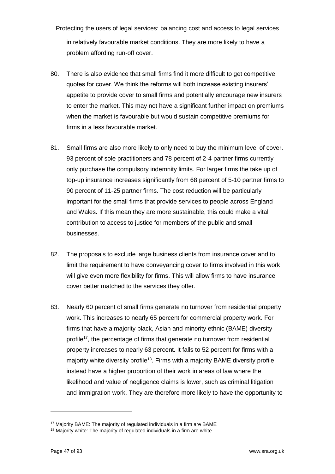Protecting the users of legal services: balancing cost and access to legal services in relatively favourable market conditions. They are more likely to have a problem affording run-off cover.

- 80. There is also evidence that small firms find it more difficult to get competitive quotes for cover. We think the reforms will both increase existing insurers' appetite to provide cover to small firms and potentially encourage new insurers to enter the market. This may not have a significant further impact on premiums when the market is favourable but would sustain competitive premiums for firms in a less favourable market.
- 81. Small firms are also more likely to only need to buy the minimum level of cover. 93 percent of sole practitioners and 78 percent of 2-4 partner firms currently only purchase the compulsory indemnity limits. For larger firms the take up of top-up insurance increases significantly from 68 percent of 5-10 partner firms to 90 percent of 11-25 partner firms. The cost reduction will be particularly important for the small firms that provide services to people across England and Wales. If this mean they are more sustainable, this could make a vital contribution to access to justice for members of the public and small businesses.
- 82. The proposals to exclude large business clients from insurance cover and to limit the requirement to have conveyancing cover to firms involved in this work will give even more flexibility for firms. This will allow firms to have insurance cover better matched to the services they offer.
- 83. Nearly 60 percent of small firms generate no turnover from residential property work. This increases to nearly 65 percent for commercial property work. For firms that have a majority black, Asian and minority ethnic (BAME) diversity profile<sup>17</sup>, the percentage of firms that generate no turnover from residential property increases to nearly 63 percent. It falls to 52 percent for firms with a majority white diversity profile<sup>18</sup>. Firms with a majority BAME diversity profile instead have a higher proportion of their work in areas of law where the likelihood and value of negligence claims is lower, such as criminal litigation and immigration work. They are therefore more likely to have the opportunity to

 $17$  Majority BAME: The majority of regulated individuals in a firm are BAME

<sup>&</sup>lt;sup>18</sup> Majority white: The majority of regulated individuals in a firm are white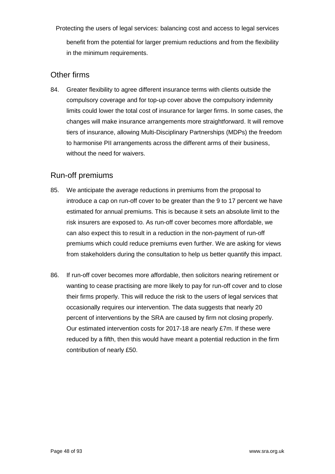Protecting the users of legal services: balancing cost and access to legal services benefit from the potential for larger premium reductions and from the flexibility in the minimum requirements.

### Other firms

84. Greater flexibility to agree different insurance terms with clients outside the compulsory coverage and for top-up cover above the compulsory indemnity limits could lower the total cost of insurance for larger firms. In some cases, the changes will make insurance arrangements more straightforward. It will remove tiers of insurance, allowing Multi-Disciplinary Partnerships (MDPs) the freedom to harmonise PII arrangements across the different arms of their business, without the need for waivers.

### Run-off premiums

- 85. We anticipate the average reductions in premiums from the proposal to introduce a cap on run-off cover to be greater than the 9 to 17 percent we have estimated for annual premiums. This is because it sets an absolute limit to the risk insurers are exposed to. As run-off cover becomes more affordable, we can also expect this to result in a reduction in the non-payment of run-off premiums which could reduce premiums even further. We are asking for views from stakeholders during the consultation to help us better quantify this impact.
- 86. If run-off cover becomes more affordable, then solicitors nearing retirement or wanting to cease practising are more likely to pay for run-off cover and to close their firms properly. This will reduce the risk to the users of legal services that occasionally requires our intervention. The data suggests that nearly 20 percent of interventions by the SRA are caused by firm not closing properly. Our estimated intervention costs for 2017-18 are nearly £7m. If these were reduced by a fifth, then this would have meant a potential reduction in the firm contribution of nearly £50.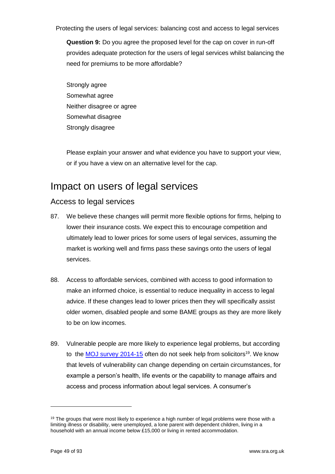**Question 9:** Do you agree the proposed level for the cap on cover in run-off provides adequate protection for the users of legal services whilst balancing the need for premiums to be more affordable?

Strongly agree Somewhat agree Neither disagree or agree Somewhat disagree Strongly disagree

Please explain your answer and what evidence you have to support your view, or if you have a view on an alternative level for the cap.

## Impact on users of legal services

### Access to legal services

- 87. We believe these changes will permit more flexible options for firms, helping to lower their insurance costs. We expect this to encourage competition and ultimately lead to lower prices for some users of legal services, assuming the market is working well and firms pass these savings onto the users of legal services.
- 88. Access to affordable services, combined with access to good information to make an informed choice, is essential to reduce inequality in access to legal advice. If these changes lead to lower prices then they will specifically assist older women, disabled people and some BAME groups as they are more likely to be on low incomes.
- 89. Vulnerable people are more likely to experience legal problems, but according to the **MOJ** survey 2014-15 often do not seek help from solicitors<sup>19</sup>. We know that levels of vulnerability can change depending on certain circumstances, for example a person's health, life events or the capability to manage affairs and access and process information about legal services. A consumer's

<sup>&</sup>lt;sup>19</sup> The groups that were most likely to experience a high number of legal problems were those with a limiting illness or disability, were unemployed, a lone parent with dependent children, living in a household with an annual income below £15,000 or living in rented accommodation.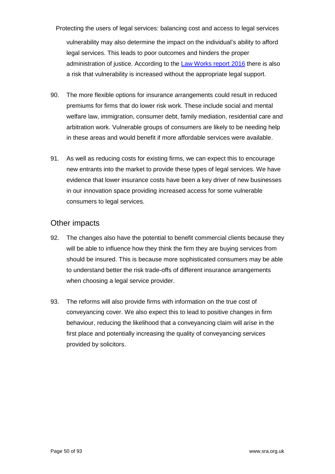Protecting the users of legal services: balancing cost and access to legal services vulnerability may also determine the impact on the individual's ability to afford legal services. This leads to poor outcomes and hinders the proper administration of justice. According to the Law Works [report 2016](https://www.hoganlovells.com/en/publications/mind-the-gap-an-assessment-of-unmet-legal-need-in-london) there is also a risk that vulnerability is increased without the appropriate legal support.

- 90. The more flexible options for insurance arrangements could result in reduced premiums for firms that do lower risk work. These include social and mental welfare law, immigration, consumer debt, family mediation, residential care and arbitration work. Vulnerable groups of consumers are likely to be needing help in these areas and would benefit if more affordable services were available.
- 91. As well as reducing costs for existing firms, we can expect this to encourage new entrants into the market to provide these types of legal services. We have evidence that lower insurance costs have been a key driver of new businesses in our innovation space providing increased access for some vulnerable consumers to legal services.

### Other impacts

- 92. The changes also have the potential to benefit commercial clients because they will be able to influence how they think the firm they are buying services from should be insured. This is because more sophisticated consumers may be able to understand better the risk trade-offs of different insurance arrangements when choosing a legal service provider.
- 93. The reforms will also provide firms with information on the true cost of conveyancing cover. We also expect this to lead to positive changes in firm behaviour, reducing the likelihood that a conveyancing claim will arise in the first place and potentially increasing the quality of conveyancing services provided by solicitors.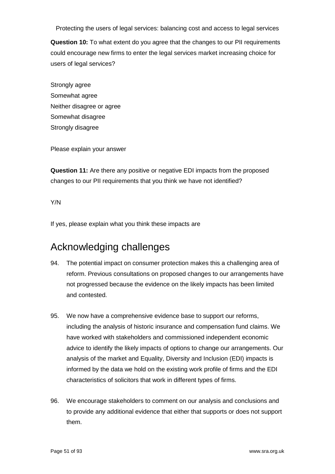**Question 10:** To what extent do you agree that the changes to our PII requirements could encourage new firms to enter the legal services market increasing choice for users of legal services?

Strongly agree Somewhat agree Neither disagree or agree Somewhat disagree Strongly disagree

Please explain your answer

**Question 11:** Are there any positive or negative EDI impacts from the proposed changes to our PII requirements that you think we have not identified?

Y/N

If yes, please explain what you think these impacts are

## Acknowledging challenges

- 94. The potential impact on consumer protection makes this a challenging area of reform. Previous consultations on proposed changes to our arrangements have not progressed because the evidence on the likely impacts has been limited and contested.
- 95. We now have a comprehensive evidence base to support our reforms, including the analysis of historic insurance and compensation fund claims. We have worked with stakeholders and commissioned independent economic advice to identify the likely impacts of options to change our arrangements. Our analysis of the market and Equality, Diversity and Inclusion (EDI) impacts is informed by the data we hold on the existing work profile of firms and the EDI characteristics of solicitors that work in different types of firms.
- 96. We encourage stakeholders to comment on our analysis and conclusions and to provide any additional evidence that either that supports or does not support them.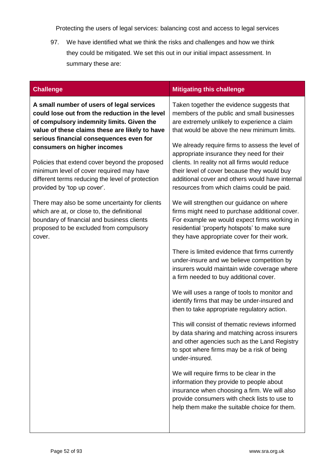97. We have identified what we think the risks and challenges and how we think they could be mitigated. We set this out in our initial impact assessment. In summary these are:

| <b>Challenge</b>                                                                                                                                                                                 | <b>Mitigating this challenge</b>                                                                                                                                                                                                          |
|--------------------------------------------------------------------------------------------------------------------------------------------------------------------------------------------------|-------------------------------------------------------------------------------------------------------------------------------------------------------------------------------------------------------------------------------------------|
| A small number of users of legal services<br>could lose out from the reduction in the level<br>of compulsory indemnity limits. Given the<br>value of these claims these are likely to have       | Taken together the evidence suggests that<br>members of the public and small businesses<br>are extremely unlikely to experience a claim<br>that would be above the new minimum limits.                                                    |
| serious financial consequences even for<br>consumers on higher incomes<br>Policies that extend cover beyond the proposed                                                                         | We already require firms to assess the level of<br>appropriate insurance they need for their<br>clients. In reality not all firms would reduce                                                                                            |
| minimum level of cover required may have<br>different terms reducing the level of protection<br>provided by 'top up cover'.                                                                      | their level of cover because they would buy<br>additional cover and others would have internal<br>resources from which claims could be paid.                                                                                              |
| There may also be some uncertainty for clients<br>which are at, or close to, the definitional<br>boundary of financial and business clients<br>proposed to be excluded from compulsory<br>cover. | We will strengthen our guidance on where<br>firms might need to purchase additional cover.<br>For example we would expect firms working in<br>residential 'property hotspots' to make sure<br>they have appropriate cover for their work. |
|                                                                                                                                                                                                  | There is limited evidence that firms currently<br>under-insure and we believe competition by<br>insurers would maintain wide coverage where<br>a firm needed to buy additional cover.                                                     |
|                                                                                                                                                                                                  | We will uses a range of tools to monitor and<br>identify firms that may be under-insured and<br>then to take appropriate regulatory action.                                                                                               |
|                                                                                                                                                                                                  | This will consist of thematic reviews informed<br>by data sharing and matching across insurers<br>and other agencies such as the Land Registry<br>to spot where firms may be a risk of being<br>under-insured.                            |
|                                                                                                                                                                                                  | We will require firms to be clear in the<br>information they provide to people about<br>insurance when choosing a firm. We will also<br>provide consumers with check lists to use to<br>help them make the suitable choice for them.      |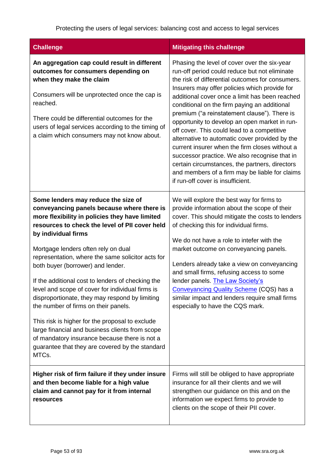| <b>Challenge</b>                                                                                                                                                                                                                                                                                                                                                                                                                                                                                                                                                                                                                                                                                                                                                    | <b>Mitigating this challenge</b>                                                                                                                                                                                                                                                                                                                                                                                                                                                                                                                                                                                                                                                                                                                   |
|---------------------------------------------------------------------------------------------------------------------------------------------------------------------------------------------------------------------------------------------------------------------------------------------------------------------------------------------------------------------------------------------------------------------------------------------------------------------------------------------------------------------------------------------------------------------------------------------------------------------------------------------------------------------------------------------------------------------------------------------------------------------|----------------------------------------------------------------------------------------------------------------------------------------------------------------------------------------------------------------------------------------------------------------------------------------------------------------------------------------------------------------------------------------------------------------------------------------------------------------------------------------------------------------------------------------------------------------------------------------------------------------------------------------------------------------------------------------------------------------------------------------------------|
| An aggregation cap could result in different<br>outcomes for consumers depending on<br>when they make the claim<br>Consumers will be unprotected once the cap is<br>reached.<br>There could be differential outcomes for the<br>users of legal services according to the timing of<br>a claim which consumers may not know about.                                                                                                                                                                                                                                                                                                                                                                                                                                   | Phasing the level of cover over the six-year<br>run-off period could reduce but not eliminate<br>the risk of differential outcomes for consumers.<br>Insurers may offer policies which provide for<br>additional cover once a limit has been reached<br>conditional on the firm paying an additional<br>premium ("a reinstatement clause"). There is<br>opportunity to develop an open market in run-<br>off cover. This could lead to a competitive<br>alternative to automatic cover provided by the<br>current insurer when the firm closes without a<br>successor practice. We also recognise that in<br>certain circumstances, the partners, directors<br>and members of a firm may be liable for claims<br>if run-off cover is insufficient. |
| Some lenders may reduce the size of<br>conveyancing panels because where there is<br>more flexibility in policies they have limited<br>resources to check the level of PII cover held<br>by individual firms<br>Mortgage lenders often rely on dual<br>representation, where the same solicitor acts for<br>both buyer (borrower) and lender.<br>If the additional cost to lenders of checking the<br>level and scope of cover for individual firms is<br>disproportionate, they may respond by limiting<br>the number of firms on their panels.<br>This risk is higher for the proposal to exclude<br>large financial and business clients from scope<br>of mandatory insurance because there is not a<br>guarantee that they are covered by the standard<br>MTCs. | We will explore the best way for firms to<br>provide information about the scope of their<br>cover. This should mitigate the costs to lenders<br>of checking this for individual firms.<br>We do not have a role to intefer with the<br>market outcome on conveyancing panels.<br>Lenders already take a view on conveyancing<br>and small firms, refusing access to some<br>lender panels. The Law Society's<br>Conveyancing Quality Scheme (CQS) has a<br>similar impact and lenders require small firms<br>especially to have the CQS mark.                                                                                                                                                                                                     |
| Higher risk of firm failure if they under insure<br>and then become liable for a high value<br>claim and cannot pay for it from internal<br>resources                                                                                                                                                                                                                                                                                                                                                                                                                                                                                                                                                                                                               | Firms will still be obliged to have appropriate<br>insurance for all their clients and we will<br>strengthen our guidance on this and on the<br>information we expect firms to provide to<br>clients on the scope of their PII cover.                                                                                                                                                                                                                                                                                                                                                                                                                                                                                                              |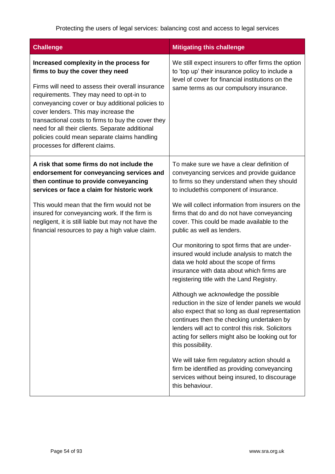| <b>Challenge</b>                                                                                                                                                                                                                                                                                                                                                                                                                                                     | <b>Mitigating this challenge</b>                                                                                                                                                                                                                                                                                      |
|----------------------------------------------------------------------------------------------------------------------------------------------------------------------------------------------------------------------------------------------------------------------------------------------------------------------------------------------------------------------------------------------------------------------------------------------------------------------|-----------------------------------------------------------------------------------------------------------------------------------------------------------------------------------------------------------------------------------------------------------------------------------------------------------------------|
| Increased complexity in the process for<br>firms to buy the cover they need<br>Firms will need to assess their overall insurance<br>requirements. They may need to opt-in to<br>conveyancing cover or buy additional policies to<br>cover lenders. This may increase the<br>transactional costs to firms to buy the cover they<br>need for all their clients. Separate additional<br>policies could mean separate claims handling<br>processes for different claims. | We still expect insurers to offer firms the option<br>to 'top up' their insurance policy to include a<br>level of cover for financial institutions on the<br>same terms as our compulsory insurance.                                                                                                                  |
| A risk that some firms do not include the<br>endorsement for conveyancing services and<br>then continue to provide conveyancing<br>services or face a claim for historic work                                                                                                                                                                                                                                                                                        | To make sure we have a clear definition of<br>conveyancing services and provide guidance<br>to firms so they understand when they should<br>to includethis component of insurance.                                                                                                                                    |
| This would mean that the firm would not be<br>insured for conveyancing work. If the firm is<br>negligent, it is still liable but may not have the<br>financial resources to pay a high value claim.                                                                                                                                                                                                                                                                  | We will collect information from insurers on the<br>firms that do and do not have conveyancing<br>cover. This could be made available to the<br>public as well as lenders.                                                                                                                                            |
|                                                                                                                                                                                                                                                                                                                                                                                                                                                                      | Our monitoring to spot firms that are under-<br>insured would include analysis to match the<br>data we hold about the scope of firms<br>insurance with data about which firms are<br>registering title with the Land Registry.                                                                                        |
|                                                                                                                                                                                                                                                                                                                                                                                                                                                                      | Although we acknowledge the possible<br>reduction in the size of lender panels we would<br>also expect that so long as dual representation<br>continues then the checking undertaken by<br>lenders will act to control this risk. Solicitors<br>acting for sellers might also be looking out for<br>this possibility. |
|                                                                                                                                                                                                                                                                                                                                                                                                                                                                      | We will take firm regulatory action should a<br>firm be identified as providing conveyancing<br>services without being insured, to discourage<br>this behaviour.                                                                                                                                                      |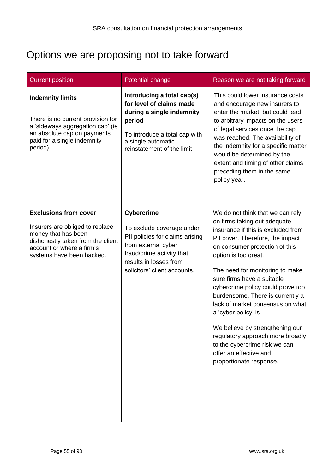## Options we are proposing not to take forward

| <b>Current position</b>                                                                                                                                                               | Potential change                                                                                                                                                                                | Reason we are not taking forward                                                                                                                                                                                                                                                                                                                                                                                                                                                                                                                                        |
|---------------------------------------------------------------------------------------------------------------------------------------------------------------------------------------|-------------------------------------------------------------------------------------------------------------------------------------------------------------------------------------------------|-------------------------------------------------------------------------------------------------------------------------------------------------------------------------------------------------------------------------------------------------------------------------------------------------------------------------------------------------------------------------------------------------------------------------------------------------------------------------------------------------------------------------------------------------------------------------|
| <b>Indemnity limits</b><br>There is no current provision for<br>a 'sideways aggregation cap' (ie<br>an absolute cap on payments<br>paid for a single indemnity<br>period).            | Introducing a total cap(s)<br>for level of claims made<br>during a single indemnity<br>period<br>To introduce a total cap with<br>a single automatic<br>reinstatement of the limit              | This could lower insurance costs<br>and encourage new insurers to<br>enter the market, but could lead<br>to arbitrary impacts on the users<br>of legal services once the cap<br>was reached. The availability of<br>the indemnity for a specific matter<br>would be determined by the<br>extent and timing of other claims<br>preceding them in the same<br>policy year.                                                                                                                                                                                                |
| <b>Exclusions from cover</b><br>Insurers are obliged to replace<br>money that has been<br>dishonestly taken from the client<br>account or where a firm's<br>systems have been hacked. | <b>Cybercrime</b><br>To exclude coverage under<br>PII policies for claims arising<br>from external cyber<br>fraud/crime activity that<br>results in losses from<br>solicitors' client accounts. | We do not think that we can rely<br>on firms taking out adequate<br>insurance if this is excluded from<br>PII cover. Therefore, the impact<br>on consumer protection of this<br>option is too great.<br>The need for monitoring to make<br>sure firms have a suitable<br>cybercrime policy could prove too<br>burdensome. There is currently a<br>lack of market consensus on what<br>a 'cyber policy' is.<br>We believe by strengthening our<br>regulatory approach more broadly<br>to the cybercrime risk we can<br>offer an effective and<br>proportionate response. |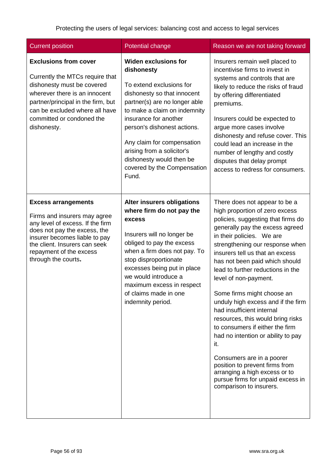| <b>Current position</b>                                                                                                                                                                                                                            | <b>Potential change</b>                                                                                                                                                                                                                                                                                                                                       | Reason we are not taking forward                                                                                                                                                                                                                                                                                                                                                                                                                                                                                                                                                                                                                                                                                                  |
|----------------------------------------------------------------------------------------------------------------------------------------------------------------------------------------------------------------------------------------------------|---------------------------------------------------------------------------------------------------------------------------------------------------------------------------------------------------------------------------------------------------------------------------------------------------------------------------------------------------------------|-----------------------------------------------------------------------------------------------------------------------------------------------------------------------------------------------------------------------------------------------------------------------------------------------------------------------------------------------------------------------------------------------------------------------------------------------------------------------------------------------------------------------------------------------------------------------------------------------------------------------------------------------------------------------------------------------------------------------------------|
| <b>Exclusions from cover</b><br>Currently the MTCs require that<br>dishonesty must be covered<br>wherever there is an innocent<br>partner/principal in the firm, but<br>can be excluded where all have<br>committed or condoned the<br>dishonesty. | <b>Widen exclusions for</b><br>dishonesty<br>To extend exclusions for<br>dishonesty so that innocent<br>partner(s) are no longer able<br>to make a claim on indemnity<br>insurance for another<br>person's dishonest actions.<br>Any claim for compensation<br>arising from a solicitor's<br>dishonesty would then be<br>covered by the Compensation<br>Fund. | Insurers remain well placed to<br>incentivise firms to invest in<br>systems and controls that are<br>likely to reduce the risks of fraud<br>by offering differentiated<br>premiums.<br>Insurers could be expected to<br>argue more cases involve<br>dishonesty and refuse cover. This<br>could lead an increase in the<br>number of lengthy and costly<br>disputes that delay prompt<br>access to redress for consumers.                                                                                                                                                                                                                                                                                                          |
| <b>Excess arrangements</b><br>Firms and insurers may agree<br>any level of excess. If the firm<br>does not pay the excess, the<br>insurer becomes liable to pay<br>the client. Insurers can seek<br>repayment of the excess<br>through the courts. | <b>Alter insurers obligations</b><br>where firm do not pay the<br>excess<br>Insurers will no longer be<br>obliged to pay the excess<br>when a firm does not pay. To<br>stop disproportionate<br>excesses being put in place<br>we would introduce a<br>maximum excess in respect<br>of claims made in one<br>indemnity period.                                | There does not appear to be a<br>high proportion of zero excess<br>policies, suggesting that firms do<br>generally pay the excess agreed<br>in their policies. We are<br>strengthening our response when<br>insurers tell us that an excess<br>has not been paid which should<br>lead to further reductions in the<br>level of non-payment.<br>Some firms might choose an<br>unduly high excess and if the firm<br>had insufficient internal<br>resources, this would bring risks<br>to consumers if either the firm<br>had no intention or ability to pay<br>it.<br>Consumers are in a poorer<br>position to prevent firms from<br>arranging a high excess or to<br>pursue firms for unpaid excess in<br>comparison to insurers. |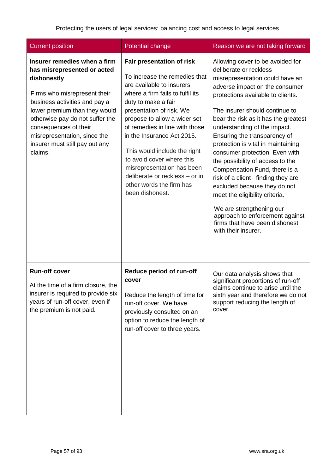| <b>Current position</b>                                                                                                                                                                                                                                                                                               | Potential change                                                                                                                                                                                                                                                                                                                                                                                                                                           | Reason we are not taking forward                                                                                                                                                                                                                                                                                                                                                                                                                                                                                                                                                                                                                                                           |
|-----------------------------------------------------------------------------------------------------------------------------------------------------------------------------------------------------------------------------------------------------------------------------------------------------------------------|------------------------------------------------------------------------------------------------------------------------------------------------------------------------------------------------------------------------------------------------------------------------------------------------------------------------------------------------------------------------------------------------------------------------------------------------------------|--------------------------------------------------------------------------------------------------------------------------------------------------------------------------------------------------------------------------------------------------------------------------------------------------------------------------------------------------------------------------------------------------------------------------------------------------------------------------------------------------------------------------------------------------------------------------------------------------------------------------------------------------------------------------------------------|
| Insurer remedies when a firm<br>has misrepresented or acted<br>dishonestly<br>Firms who misrepresent their<br>business activities and pay a<br>lower premium than they would<br>otherwise pay do not suffer the<br>consequences of their<br>misrepresentation, since the<br>insurer must still pay out any<br>claims. | Fair presentation of risk<br>To increase the remedies that<br>are available to insurers<br>where a firm fails to fulfil its<br>duty to make a fair<br>presentation of risk. We<br>propose to allow a wider set<br>of remedies in line with those<br>in the Insurance Act 2015.<br>This would include the right<br>to avoid cover where this<br>misrepresentation has been<br>deliberate or reckless - or in<br>other words the firm has<br>been dishonest. | Allowing cover to be avoided for<br>deliberate or reckless<br>misrepresentation could have an<br>adverse impact on the consumer<br>protections available to clients.<br>The insurer should continue to<br>bear the risk as it has the greatest<br>understanding of the impact.<br>Ensuring the transparency of<br>protection is vital in maintaining<br>consumer protection. Even with<br>the possibility of access to the<br>Compensation Fund, there is a<br>risk of a client finding they are<br>excluded because they do not<br>meet the eligibility criteria.<br>We are strengthening our<br>approach to enforcement against<br>firms that have been dishonest<br>with their insurer. |
| <b>Run-off cover</b><br>At the time of a firm closure, the<br>insurer is required to provide six<br>years of run-off cover, even if<br>the premium is not paid.                                                                                                                                                       | Reduce period of run-off<br>cover<br>Reduce the length of time for<br>run-off cover. We have<br>previously consulted on an<br>option to reduce the length of<br>run-off cover to three years.                                                                                                                                                                                                                                                              | Our data analysis shows that<br>significant proportions of run-off<br>claims continue to arise until the<br>sixth year and therefore we do not<br>support reducing the length of<br>cover.                                                                                                                                                                                                                                                                                                                                                                                                                                                                                                 |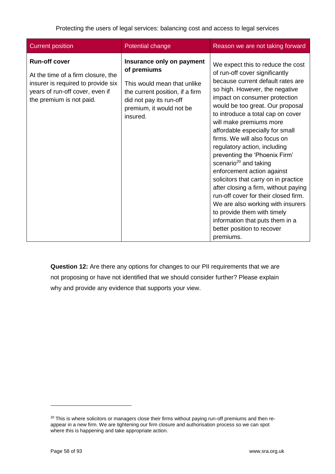| <b>Current position</b>                                                                                                                                         | Potential change                                                                                                                                                              | Reason we are not taking forward                                                                                                                                                                                                                                                                                                                                                                                                                                                                                                                                                                                                                                                                                                                                 |
|-----------------------------------------------------------------------------------------------------------------------------------------------------------------|-------------------------------------------------------------------------------------------------------------------------------------------------------------------------------|------------------------------------------------------------------------------------------------------------------------------------------------------------------------------------------------------------------------------------------------------------------------------------------------------------------------------------------------------------------------------------------------------------------------------------------------------------------------------------------------------------------------------------------------------------------------------------------------------------------------------------------------------------------------------------------------------------------------------------------------------------------|
| <b>Run-off cover</b><br>At the time of a firm closure, the<br>insurer is required to provide six<br>years of run-off cover, even if<br>the premium is not paid. | Insurance only on payment<br>of premiums<br>This would mean that unlike<br>the current position, if a firm<br>did not pay its run-off<br>premium, it would not be<br>insured. | We expect this to reduce the cost<br>of run-off cover significantly<br>because current default rates are<br>so high. However, the negative<br>impact on consumer protection<br>would be too great. Our proposal<br>to introduce a total cap on cover<br>will make premiums more<br>affordable especially for small<br>firms. We will also focus on<br>regulatory action, including<br>preventing the 'Phoenix Firm'<br>scenario <sup>20</sup> and taking<br>enforcement action against<br>solicitors that carry on in practice<br>after closing a firm, without paying<br>run-off cover for their closed firm.<br>We are also working with insurers<br>to provide them with timely<br>information that puts them in a<br>better position to recover<br>premiums. |

**Question 12:** Are there any options for changes to our PII requirements that we are not proposing or have not identified that we should consider further? Please explain why and provide any evidence that supports your view.

<sup>&</sup>lt;sup>20</sup> This is where solicitors or managers close their firms without paying run-off premiums and then reappear in a new firm. We are tightening our firm closure and authorisation process so we can spot where this is happening and take appropriate action.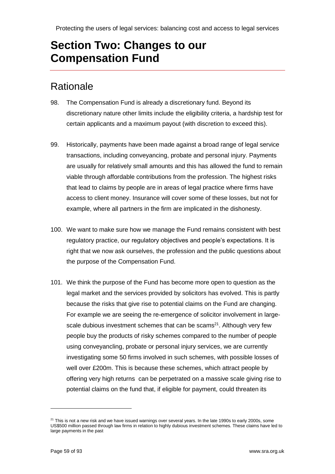## **Section Two: Changes to our Compensation Fund**

### **Rationale**

- 98. The Compensation Fund is already a discretionary fund. Beyond its discretionary nature other limits include the eligibility criteria, a hardship test for certain applicants and a maximum payout (with discretion to exceed this).
- 99. Historically, payments have been made against a broad range of legal service transactions, including conveyancing, probate and personal injury. Payments are usually for relatively small amounts and this has allowed the fund to remain viable through affordable contributions from the profession. The highest risks that lead to claims by people are in areas of legal practice where firms have access to client money. Insurance will cover some of these losses, but not for example, where all partners in the firm are implicated in the dishonesty.
- 100. We want to make sure how we manage the Fund remains consistent with best regulatory practice, our regulatory objectives and people's expectations. It is right that we now ask ourselves, the profession and the public questions about the purpose of the Compensation Fund.
- 101. We think the purpose of the Fund has become more open to question as the legal market and the services provided by solicitors has evolved. This is partly because the risks that give rise to potential claims on the Fund are changing. For example we are seeing the re-emergence of solicitor involvement in largescale dubious investment schemes that can be scams $21$ . Although very few people buy the products of risky schemes compared to the number of people using conveyancling, probate or personal injury services, we are currently investigating some 50 firms involved in such schemes, with possible losses of well over £200m. This is because these schemes, which attract people by offering very high returns can be perpetrated on a massive scale giving rise to potential claims on the fund that, if eligible for payment, could threaten its

 $\overline{a}$ 

 $21$  This is not a new risk and we have issued warnings over several years. In the late 1990s to early 2000s, some US\$500 million passed through law firms in relation to highly dubious investment schemes. These claims have led to large payments in the past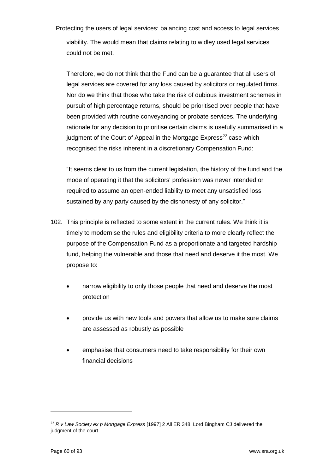Protecting the users of legal services: balancing cost and access to legal services viability. The would mean that claims relating to widley used legal services could not be met.

Therefore, we do not think that the Fund can be a guarantee that all users of legal services are covered for any loss caused by solicitors or regulated firms. Nor do we think that those who take the risk of dubious investment schemes in pursuit of high percentage returns, should be prioritised over people that have been provided with routine conveyancing or probate services. The underlying rationale for any decision to prioritise certain claims is usefully summarised in a judgment of the Court of Appeal in the Mortgage Express*<sup>22</sup>* case which recognised the risks inherent in a discretionary Compensation Fund:

"It seems clear to us from the current legislation, the history of the fund and the mode of operating it that the solicitors' profession was never intended or required to assume an open-ended liability to meet any unsatisfied loss sustained by any party caused by the dishonesty of any solicitor."

- 102. This principle is reflected to some extent in the current rules. We think it is timely to modernise the rules and eligibility criteria to more clearly reflect the purpose of the Compensation Fund as a proportionate and targeted hardship fund, helping the vulnerable and those that need and deserve it the most. We propose to:
	- narrow eligibility to only those people that need and deserve the most protection
	- provide us with new tools and powers that allow us to make sure claims are assessed as robustly as possible
	- emphasise that consumers need to take responsibility for their own financial decisions

<sup>22</sup> *R v Law Society ex p Mortgage Express* [1997] 2 All ER 348, Lord Bingham CJ delivered the judgment of the court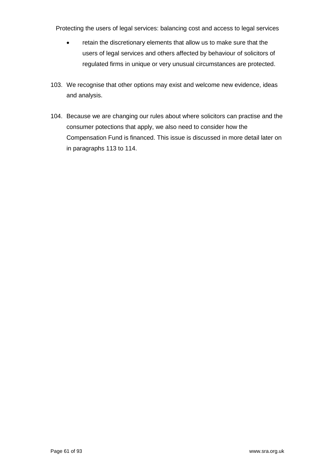- retain the discretionary elements that allow us to make sure that the users of legal services and others affected by behaviour of solicitors of regulated firms in unique or very unusual circumstances are protected.
- 103. We recognise that other options may exist and welcome new evidence, ideas and analysis.
- 104. Because we are changing our rules about where solicitors can practise and the consumer potections that apply, we also need to consider how the Compensation Fund is financed. This issue is discussed in more detail later on in paragraphs 113 to 114.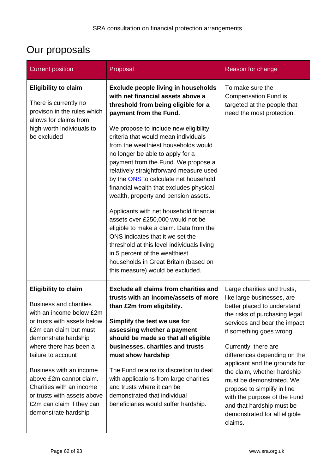# Our proposals

| <b>Current position</b>                                                                                                                                                                                                                                                                                                                                                                         | Proposal                                                                                                                                                                                                                                                                                                                                                                                                                                                                                                                                                                                                                                                                                                                                                                                                                                                       | Reason for change                                                                                                                                                                                                                                                                                                                                                                                                                                                                 |
|-------------------------------------------------------------------------------------------------------------------------------------------------------------------------------------------------------------------------------------------------------------------------------------------------------------------------------------------------------------------------------------------------|----------------------------------------------------------------------------------------------------------------------------------------------------------------------------------------------------------------------------------------------------------------------------------------------------------------------------------------------------------------------------------------------------------------------------------------------------------------------------------------------------------------------------------------------------------------------------------------------------------------------------------------------------------------------------------------------------------------------------------------------------------------------------------------------------------------------------------------------------------------|-----------------------------------------------------------------------------------------------------------------------------------------------------------------------------------------------------------------------------------------------------------------------------------------------------------------------------------------------------------------------------------------------------------------------------------------------------------------------------------|
| <b>Eligibility to claim</b><br>There is currently no<br>provison in the rules which<br>allows for claims from<br>high-worth individuals to<br>be excluded                                                                                                                                                                                                                                       | <b>Exclude people living in households</b><br>with net financial assets above a<br>threshold from being eligible for a<br>payment from the Fund.<br>We propose to include new eligibility<br>criteria that would mean individuals<br>from the wealthiest households would<br>no longer be able to apply for a<br>payment from the Fund. We propose a<br>relatively straightforward measure used<br>by the <b>ONS</b> to calculate net household<br>financial wealth that excludes physical<br>wealth, property and pension assets.<br>Applicants with net household financial<br>assets over £250,000 would not be<br>eligible to make a claim. Data from the<br>ONS indicates that it we set the<br>threshold at this level individuals living<br>in 5 percent of the wealthiest<br>households in Great Britain (based on<br>this measure) would be excluded. | To make sure the<br><b>Compensation Fund is</b><br>targeted at the people that<br>need the most protection.                                                                                                                                                                                                                                                                                                                                                                       |
| <b>Eligibility to claim</b><br><b>Business and charities</b><br>with an income below £2m<br>or trusts with assets below<br>£2m can claim but must<br>demonstrate hardship<br>where there has been a<br>failure to account<br>Business with an income<br>above £2m cannot claim.<br>Charities with an income<br>or trusts with assets above<br>£2m can claim if they can<br>demonstrate hardship | <b>Exclude all claims from charities and</b><br>trusts with an income/assets of more<br>than £2m from eligibility.<br>Simplify the test we use for<br>assessing whether a payment<br>should be made so that all eligible<br>businesses, charities and trusts<br>must show hardship<br>The Fund retains its discretion to deal<br>with applications from large charities<br>and trusts where it can be<br>demonstrated that individual<br>beneficiaries would suffer hardship.                                                                                                                                                                                                                                                                                                                                                                                  | Large charities and trusts,<br>like large businesses, are<br>better placed to understand<br>the risks of purchasing legal<br>services and bear the impact<br>if something goes wrong.<br>Currently, there are<br>differences depending on the<br>applicant and the grounds for<br>the claim, whether hardship<br>must be demonstrated. We<br>propose to simplify in line<br>with the purpose of the Fund<br>and that hardship must be<br>demonstrated for all eligible<br>claims. |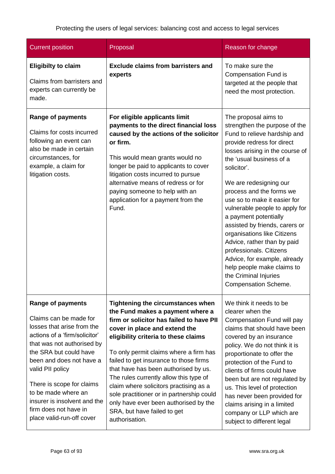| <b>Current position</b>                                                                                                                                                                                                                                                                                                                                             | Proposal                                                                                                                                                                                                                                                                                                                                                                                                                                                                                                                                          | Reason for change                                                                                                                                                                                                                                                                                                                                                                                                                                                                                                                                                                                   |
|---------------------------------------------------------------------------------------------------------------------------------------------------------------------------------------------------------------------------------------------------------------------------------------------------------------------------------------------------------------------|---------------------------------------------------------------------------------------------------------------------------------------------------------------------------------------------------------------------------------------------------------------------------------------------------------------------------------------------------------------------------------------------------------------------------------------------------------------------------------------------------------------------------------------------------|-----------------------------------------------------------------------------------------------------------------------------------------------------------------------------------------------------------------------------------------------------------------------------------------------------------------------------------------------------------------------------------------------------------------------------------------------------------------------------------------------------------------------------------------------------------------------------------------------------|
| <b>Eligibilty to claim</b><br>Claims from barristers and<br>experts can currently be<br>made.                                                                                                                                                                                                                                                                       | <b>Exclude claims from barristers and</b><br>experts                                                                                                                                                                                                                                                                                                                                                                                                                                                                                              | To make sure the<br><b>Compensation Fund is</b><br>targeted at the people that<br>need the most protection.                                                                                                                                                                                                                                                                                                                                                                                                                                                                                         |
| <b>Range of payments</b><br>Claims for costs incurred<br>following an event can<br>also be made in certain<br>circumstances, for<br>example, a claim for<br>litigation costs.                                                                                                                                                                                       | For eligible applicants limit<br>payments to the direct financial loss<br>caused by the actions of the solicitor<br>or firm.<br>This would mean grants would no<br>longer be paid to applicants to cover<br>litigation costs incurred to pursue<br>alternative means of redress or for<br>paying someone to help with an<br>application for a payment from the<br>Fund.                                                                                                                                                                           | The proposal aims to<br>strengthen the purpose of the<br>Fund to relieve hardship and<br>provide redress for direct<br>losses arising in the course of<br>the 'usual business of a<br>solicitor'.<br>We are redesigning our<br>process and the forms we<br>use so to make it easier for<br>vulnerable people to apply for<br>a payment potentially<br>assisted by friends, carers or<br>organisations like Citizens<br>Advice, rather than by paid<br>professionals. Citizens<br>Advice, for example, already<br>help people make claims to<br>the Criminal Injuries<br><b>Compensation Scheme.</b> |
| <b>Range of payments</b><br>Claims can be made for<br>losses that arise from the<br>actions of a 'firm/solicitor'<br>that was not authorised by<br>the SRA but could have<br>been and does not have a<br>valid PII policy<br>There is scope for claims<br>to be made where an<br>insurer is insolvent and the<br>firm does not have in<br>place valid-run-off cover | Tightening the circumstances when<br>the Fund makes a payment where a<br>firm or solicitor has failed to have PII<br>cover in place and extend the<br>eligibility criteria to these claims<br>To only permit claims where a firm has<br>failed to get insurance to those firms<br>that have has been authorised by us.<br>The rules currently allow this type of<br>claim where solicitors practising as a<br>sole practitioner or in partnership could<br>only have ever been authorised by the<br>SRA, but have failed to get<br>authorisation. | We think it needs to be<br>clearer when the<br>Compensation Fund will pay<br>claims that should have been<br>covered by an insurance<br>policy. We do not think it is<br>proportionate to offer the<br>protection of the Fund to<br>clients of firms could have<br>been but are not regulated by<br>us. This level of protection<br>has never been provided for<br>claims arising in a limited<br>company or LLP which are<br>subject to different legal                                                                                                                                            |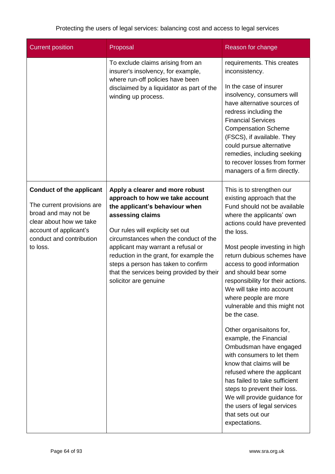| <b>Current position</b>                                                                                                                                                            | Proposal                                                                                                                                                                                                                                                                                                                                                                                            | Reason for change                                                                                                                                                                                                                                                                                                                                                                                                                                                                                                                                                                                                                                                                                                                                                                  |
|------------------------------------------------------------------------------------------------------------------------------------------------------------------------------------|-----------------------------------------------------------------------------------------------------------------------------------------------------------------------------------------------------------------------------------------------------------------------------------------------------------------------------------------------------------------------------------------------------|------------------------------------------------------------------------------------------------------------------------------------------------------------------------------------------------------------------------------------------------------------------------------------------------------------------------------------------------------------------------------------------------------------------------------------------------------------------------------------------------------------------------------------------------------------------------------------------------------------------------------------------------------------------------------------------------------------------------------------------------------------------------------------|
|                                                                                                                                                                                    | To exclude claims arising from an<br>insurer's insolvency, for example,<br>where run-off policies have been<br>disclaimed by a liquidator as part of the<br>winding up process.                                                                                                                                                                                                                     | requirements. This creates<br>inconsistency.<br>In the case of insurer<br>insolvency, consumers will<br>have alternative sources of<br>redress including the<br><b>Financial Services</b><br><b>Compensation Scheme</b><br>(FSCS), if available. They<br>could pursue alternative<br>remedies, including seeking<br>to recover losses from former<br>managers of a firm directly.                                                                                                                                                                                                                                                                                                                                                                                                  |
| <b>Conduct of the applicant</b><br>The current provisions are<br>broad and may not be<br>clear about how we take<br>account of applicant's<br>conduct and contribution<br>to loss. | Apply a clearer and more robust<br>approach to how we take account<br>the applicant's behaviour when<br>assessing claims<br>Our rules will explicity set out<br>circumstances when the conduct of the<br>applicant may warrant a refusal or<br>reduction in the grant, for example the<br>steps a person has taken to confirm<br>that the services being provided by their<br>solicitor are genuine | This is to strengthen our<br>existing approach that the<br>Fund should not be available<br>where the applicants' own<br>actions could have prevented<br>the loss.<br>Most people investing in high<br>return dubious schemes have<br>access to good information<br>and should bear some<br>responsibility for their actions.<br>We will take into account<br>where people are more<br>vulnerable and this might not<br>be the case.<br>Other organisaitons for,<br>example, the Financial<br>Ombudsman have engaged<br>with consumers to let them<br>know that claims will be<br>refused where the applicant<br>has failed to take sufficient<br>steps to prevent their loss.<br>We will provide guidance for<br>the users of legal services<br>that sets out our<br>expectations. |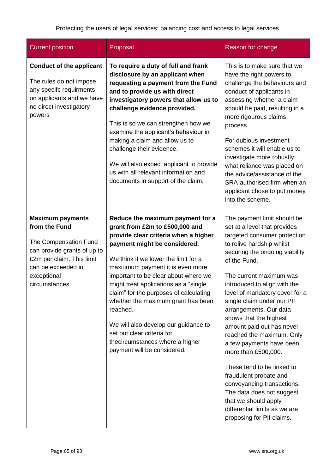| <b>Current position</b>                                                                                                                                                              | Proposal                                                                                                                                                                                                                                                                                                                                                                                                                                                                                                                                     | Reason for change                                                                                                                                                                                                                                                                                                                                                                                                                                                                                                                                                                                                                                                               |
|--------------------------------------------------------------------------------------------------------------------------------------------------------------------------------------|----------------------------------------------------------------------------------------------------------------------------------------------------------------------------------------------------------------------------------------------------------------------------------------------------------------------------------------------------------------------------------------------------------------------------------------------------------------------------------------------------------------------------------------------|---------------------------------------------------------------------------------------------------------------------------------------------------------------------------------------------------------------------------------------------------------------------------------------------------------------------------------------------------------------------------------------------------------------------------------------------------------------------------------------------------------------------------------------------------------------------------------------------------------------------------------------------------------------------------------|
| <b>Conduct of the applicant</b><br>The rules do not impose<br>any specifc requirments<br>on applicants and we have<br>no direct investigatory<br>powers                              | To require a duty of full and frank<br>disclosure by an applicant when<br>requesting a payment from the Fund<br>and to provide us with direct<br>investigatory powers that allow us to<br>challenge evidence provided.<br>This is so we can strengthen how we<br>examine the applicant's behaviour in<br>making a claim and allow us to<br>challenge their evidence.<br>We will also expect applicant to provide<br>us with all relevant information and<br>documents in support of the claim.                                               | This is to make sure that we<br>have the right powers to<br>challenge the behaviours and<br>conduct of applicants in<br>assessing whether a claim<br>should be paid, resulting in a<br>more rigourous claims<br>process<br>For dubious investment<br>schemes it will enable us to<br>investigate more robustly<br>what reliance was placed on<br>the advice/assistance of the<br>SRA-authorised firm when an<br>applicant chose to put money<br>into the scheme.                                                                                                                                                                                                                |
| <b>Maximum payments</b><br>from the Fund<br>The Compensation Fund<br>can provide grants of up to<br>£2m per claim. This limit<br>can be exceeded in<br>exceptional<br>circumstances. | Reduce the maximum payment for a<br>grant from £2m to £500,000 and<br>provide clear criteria when a higher<br>payment might be considered.<br>We think if we lower the limit for a<br>maxiumum payment it is even more<br>important to be clear about where we<br>might treat applications as a "single"<br>claim" for the purposes of calculating<br>whether the maximum grant has been<br>reached.<br>We will also develop our guidance to<br>set out clear criteria for<br>thecircumstances where a higher<br>payment will be considered. | The payment limit should be<br>set at a level that provides<br>targeted consumer protection<br>to relive hardship whilst<br>securing the ongoing viability<br>of the Fund.<br>The current maximum was<br>introduced to align with the<br>level of mandatory cover for a<br>single claim under our PII<br>arrangements. Our data<br>shows that the highest<br>amount paid out has never<br>reached the maximum. Only<br>a few payments have been<br>more than £500,000.<br>These tend to be linked to<br>fraudulent probate and<br>conveyancing transactions.<br>The data does not suggest<br>that we should apply<br>differential limits as we are<br>proposing for PII claims. |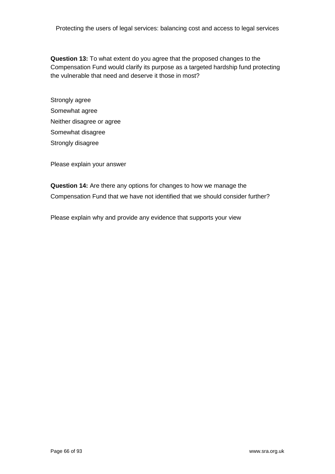**Question 13:** To what extent do you agree that the proposed changes to the Compensation Fund would clarify its purpose as a targeted hardship fund protecting the vulnerable that need and deserve it those in most?

Strongly agree Somewhat agree Neither disagree or agree Somewhat disagree Strongly disagree

Please explain your answer

**Question 14:** Are there any options for changes to how we manage the Compensation Fund that we have not identified that we should consider further?

Please explain why and provide any evidence that supports your view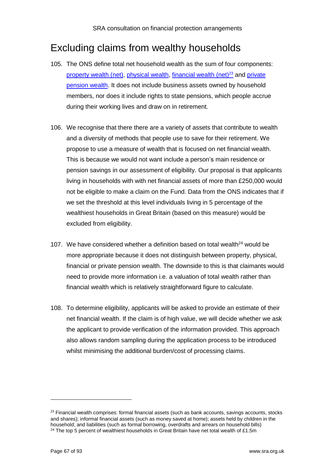## Excluding claims from wealthy households

- 105. The ONS define total net household wealth as the sum of four components: [property wealth \(net\),](http://www.ons.gov.uk/ons/rel/was/wealth-in-great-britain-wave-4/2012-2014/rpt-chapter-3.html) [physical wealth,](http://www.ons.gov.uk/ons/rel/was/wealth-in-great-britain-wave-4/2012-2014/rpt-chapter-4.html) [financial wealth \(net\)](http://www.ons.gov.uk/ons/rel/was/wealth-in-great-britain-wave-4/2012-2014/rpt-chapter-5.html) $23$  and private [pension wealth.](http://www.ons.gov.uk/ons/rel/was/wealth-in-great-britain-wave-4/2012-2014/rpt-chapter-6.html) It does not include business assets owned by household members, nor does it include rights to state pensions, which people accrue during their working lives and draw on in retirement.
- 106. We recognise that there there are a variety of assets that contribute to wealth and a diversity of methods that people use to save for their retirement. We propose to use a measure of wealth that is focused on net financial wealth. This is because we would not want include a person's main residence or pension savings in our assessment of eligibility. Our proposal is that applicants living in households with with net financial assets of more than £250,000 would not be eligible to make a claim on the Fund. Data from the ONS indicates that if we set the threshold at this level individuals living in 5 percentage of the wealthiest households in Great Britain (based on this measure) would be excluded from eligibility.
- 107. We have considered whether a definition based on total wealth $^{24}$  would be more appropriate because it does not distinguish between property, physical, financial or private pension wealth. The downside to this is that claimants would need to provide more information i.e. a valuation of total wealth rather than financial wealth which is relatively straightforward figure to calculate.
- 108. To determine eligibility, applicants will be asked to provide an estimate of their net financial wealth. If the claim is of high value, we will decide whether we ask the applicant to provide verification of the information provided. This approach also allows random sampling during the application process to be introduced whilst minimising the additional burden/cost of processing claims.

 $\overline{a}$ 

 $23$  Financial wealth comprises: formal financial assets (such as bank accounts, savings accounts, stocks and shares); informal financial assets (such as money saved at home); assets held by children in the household; and liabilities (such as formal borrowing, overdrafts and arrears on household bills) <sup>24</sup> The top 5 percent of wealthiest households in Great Britain have net total wealth of £1.5m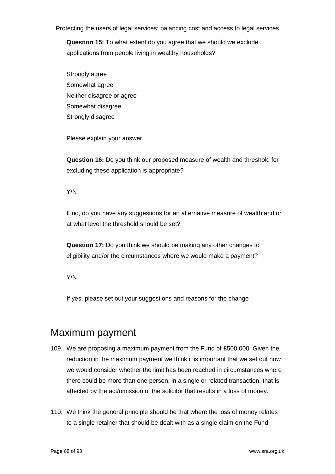**Question 15:** To what extent do you agree that we should we exclude applications from people living in wealthy households?

Strongly agree Somewhat agree Neither disagree or agree Somewhat disagree Strongly disagree

Please explain your answer

**Question 16:** Do you think our proposed measure of wealth and threshold for excluding these application is appropriate?

Y/N

If no, do you have any suggestions for an alternative measure of wealth and or at what level the threshold should be set?

**Question 17:** Do you think we should be making any other changes to eligibility and/or the circumstances where we would make a payment?

Y/N

If yes, please set out your suggestions and reasons for the change

## Maximum payment

- 109. We are proposing a maximum payment from the Fund of £500,000. Given the reduction in the maximum payment we think it is important that we set out how we would consider whether the limit has been reached in circumstances where there could be more than one person, in a single or related transaction, that is affected by the act/omission of the solicitor that results in a loss of money.
- 110. We think the general principle should be that where the loss of money relates to a single retainer that should be dealt with as a single claim on the Fund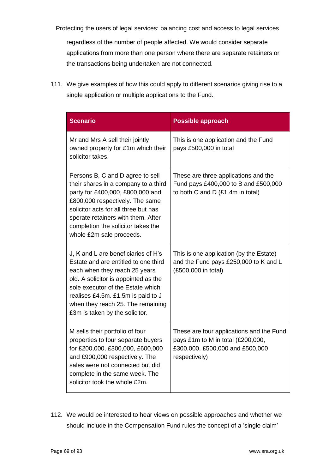regardless of the number of people affected. We would consider separate applications from more than one person where there are separate retainers or the transactions being undertaken are not connected.

111. We give examples of how this could apply to different scenarios giving rise to a single application or multiple applications to the Fund.

| <b>Scenario</b>                                                                                                                                                                                                                                                                                        | <b>Possible approach</b>                                                                                                          |
|--------------------------------------------------------------------------------------------------------------------------------------------------------------------------------------------------------------------------------------------------------------------------------------------------------|-----------------------------------------------------------------------------------------------------------------------------------|
| Mr and Mrs A sell their jointly<br>owned property for £1m which their<br>solicitor takes.                                                                                                                                                                                                              | This is one application and the Fund<br>pays £500,000 in total                                                                    |
| Persons B, C and D agree to sell<br>their shares in a company to a third<br>party for £400,000, £800,000 and<br>£800,000 respectively. The same<br>solicitor acts for all three but has<br>sperate retainers with them. After<br>completion the solicitor takes the<br>whole £2m sale proceeds.        | These are three applications and the<br>Fund pays £400,000 to B and £500,000<br>to both C and D (£1.4m in total)                  |
| J, K and L are beneficiaries of H's<br>Estate and are entitled to one third<br>each when they reach 25 years<br>old. A solicitor is appointed as the<br>sole executor of the Estate which<br>realises £4.5m. £1.5m is paid to J<br>when they reach 25. The remaining<br>£3m is taken by the solicitor. | This is one application (by the Estate)<br>and the Fund pays £250,000 to K and L<br>(£500,000 in total)                           |
| M sells their portfolio of four<br>properties to four separate buyers<br>for £200,000, £300,000, £600,000<br>and £900,000 respectively. The<br>sales were not connected but did<br>complete in the same week. The<br>solicitor took the whole £2m.                                                     | These are four applications and the Fund<br>pays £1m to M in total (£200,000,<br>£300,000, £500,000 and £500,000<br>respectively) |

112. We would be interested to hear views on possible approaches and whether we should include in the Compensation Fund rules the concept of a 'single claim'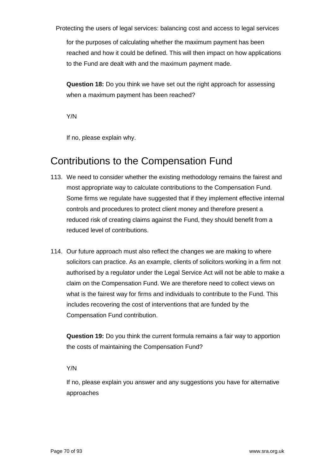for the purposes of calculating whether the maximum payment has been reached and how it could be defined. This will then impact on how applications to the Fund are dealt with and the maximum payment made.

**Question 18:** Do you think we have set out the right approach for assessing when a maximum payment has been reached?

Y/N

If no, please explain why.

## Contributions to the Compensation Fund

- 113. We need to consider whether the existing methodology remains the fairest and most appropriate way to calculate contributions to the Compensation Fund. Some firms we regulate have suggested that if they implement effective internal controls and procedures to protect client money and therefore present a reduced risk of creating claims against the Fund, they should benefit from a reduced level of contributions.
- 114. Our future approach must also reflect the changes we are making to where solicitors can practice. As an example, clients of solicitors working in a firm not authorised by a regulator under the Legal Service Act will not be able to make a claim on the Compensation Fund. We are therefore need to collect views on what is the fairest way for firms and individuals to contribute to the Fund. This includes recovering the cost of interventions that are funded by the Compensation Fund contribution.

**Question 19:** Do you think the current formula remains a fair way to apportion the costs of maintaining the Compensation Fund?

#### Y/N

If no, please explain you answer and any suggestions you have for alternative approaches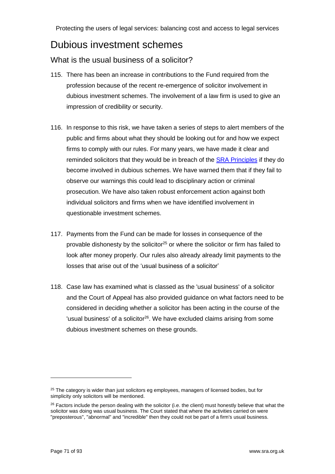## Dubious investment schemes

### What is the usual business of a solicitor?

- 115. There has been an increase in contributions to the Fund required from the profession because of the recent re-emergence of solicitor involvement in dubious investment schemes. The involvement of a law firm is used to give an impression of credibility or security.
- 116. In response to this risk, we have taken a series of steps to alert members of the public and firms about what they should be looking out for and how we expect firms to comply with our rules. For many years, we have made it clear and reminded solicitors that they would be in breach of the **SRA Principles** if they do become involved in dubious schemes. We have warned them that if they fail to observe our warnings this could lead to disciplinary action or criminal prosecution. We have also taken robust enforcement action against both individual solicitors and firms when we have identified involvement in questionable investment schemes.
- 117. Payments from the Fund can be made for losses in consequence of the provable dishonesty by the solicitor<sup>25</sup> or where the solicitor or firm has failed to look after money properly. Our rules also already already limit payments to the losses that arise out of the 'usual business of a solicitor'
- 118. Case law has examined what is classed as the 'usual business' of a solicitor and the Court of Appeal has also provided guidance on what factors need to be considered in deciding whether a solicitor has been acting in the course of the 'usual business' of a solicitor<sup>26</sup>. We have excluded claims arising from some dubious investment schemes on these grounds.

 $\overline{a}$ 

<sup>&</sup>lt;sup>25</sup> The category is wider than just solicitors eg employees, managers of licensed bodies, but for simplicity only solicitors will be mentioned.

<sup>&</sup>lt;sup>26</sup> Factors include the person dealing with the solicitor (i.e. the client) must honestly believe that what the solicitor was doing was usual business. The Court stated that where the activities carried on were "preposterous", "abnormal" and "incredible" then they could not be part of a firm's usual business.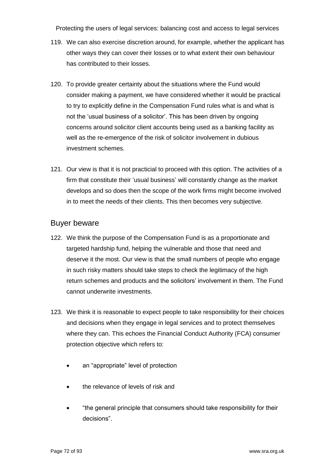- 119. We can also exercise discretion around, for example, whether the applicant has other ways they can cover their losses or to what extent their own behaviour has contributed to their losses.
- 120. To provide greater certainty about the situations where the Fund would consider making a payment, we have considered whether it would be practical to try to explicitly define in the Compensation Fund rules what is and what is not the 'usual business of a solicitor'. This has been driven by ongoing concerns around solicitor client accounts being used as a banking facility as well as the re-emergence of the risk of solicitor involvement in dubious investment schemes.
- 121. Our view is that it is not practicial to proceed with this option. The activities of a firm that constitute their 'usual business' will constantly change as the market develops and so does then the scope of the work firms might become involved in to meet the needs of their clients. This then becomes very subjective.

### Buyer beware

- 122. We think the purpose of the Compensation Fund is as a proportionate and targeted hardship fund, helping the vulnerable and those that need and deserve it the most. Our view is that the small numbers of people who engage in such risky matters should take steps to check the legitimacy of the high return schemes and products and the solicitors' involvement in them. The Fund cannot underwrite investments.
- 123. We think it is reasonable to expect people to take responsibility for their choices and decisions when they engage in legal services and to protect themselves where they can. This echoes the Financial Conduct Authority (FCA) consumer protection objective which refers to:
	- an "appropriate" level of protection
	- the relevance of levels of risk and
	- "the general principle that consumers should take responsibility for their decisions".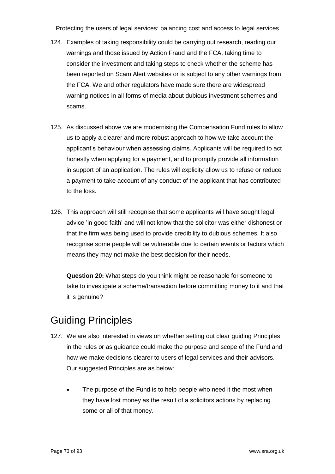- 124. Examples of taking responsibility could be carrying out research, reading our warnings and those issued by Action Fraud and the FCA, taking time to consider the investment and taking steps to check whether the scheme has been reported on Scam Alert websites or is subject to any other warnings from the FCA. We and other regulators have made sure there are widespread warning notices in all forms of media about dubious investment schemes and scams.
- 125. As discussed above we are modernising the Compensation Fund rules to allow us to apply a clearer and more robust approach to how we take account the applicant's behaviour when assessing claims. Applicants will be required to act honestly when applying for a payment, and to promptly provide all information in support of an application. The rules will explicity allow us to refuse or reduce a payment to take account of any conduct of the applicant that has contributed to the loss.
- 126. This approach will still recognise that some applicants will have sought legal advice 'in good faith' and will not know that the solicitor was either dishonest or that the firm was being used to provide credibility to dubious schemes. It also recognise some people will be vulnerable due to certain events or factors which means they may not make the best decision for their needs.

**Question 20:** What steps do you think might be reasonable for someone to take to investigate a scheme/transaction before committing money to it and that it is genuine?

## Guiding Principles

- 127. We are also interested in views on whether setting out clear guiding Principles in the rules or as guidance could make the purpose and scope of the Fund and how we make decisions clearer to users of legal services and their advisors. Our suggested Principles are as below:
	- The purpose of the Fund is to help people who need it the most when they have lost money as the result of a solicitors actions by replacing some or all of that money.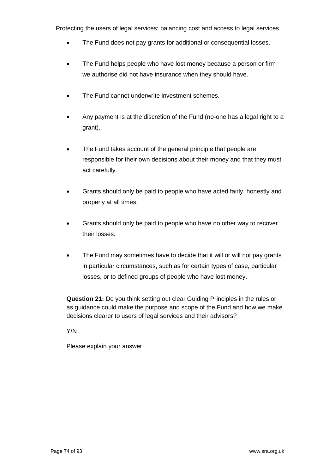- The Fund does not pay grants for additional or consequential losses.
- The Fund helps people who have lost money because a person or firm we authorise did not have insurance when they should have.
- The Fund cannot underwrite investment schemes.
- Any payment is at the discretion of the Fund (no-one has a legal right to a grant).
- The Fund takes account of the general principle that people are responsible for their own decisions about their money and that they must act carefully.
- Grants should only be paid to people who have acted fairly, honestly and properly at all times.
- Grants should only be paid to people who have no other way to recover their losses.
- The Fund may sometimes have to decide that it will or will not pay grants in particular circumstances, such as for certain types of case, particular losses, or to defined groups of people who have lost money.

**Question 21:** Do you think setting out clear Guiding Principles in the rules or as guidance could make the purpose and scope of the Fund and how we make decisions clearer to users of legal services and their advisors?

Y/N

Please explain your answer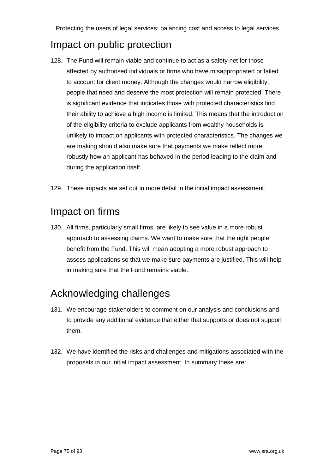## Impact on public protection

- 128. The Fund will remain viable and continue to act as a safety net for those affected by authorised individuals or firms who have misappropriated or failed to account for client money. Although the changes would narrow eligibility, people that need and deserve the most protection will remain protected. There is significant evidence that indicates those with protected characteristics find their ability to achieve a high income is limited. This means that the introduction of the eligibility criteria to exclude applicants from wealthy households is unlikely to impact on applicants with protected characteristics. The changes we are making should also make sure that payments we make reflect more robustly how an applicant has behaved in the period leading to the claim and during the application itself.
- 129. These impacts are set out in more detail in the initial impact assessment.

### Impact on firms

130. All firms, particularly small firms, are likely to see value in a more robust approach to assessing claims. We want to make sure that the right people benefit from the Fund. This will mean adopting a more robust approach to assess applications so that we make sure payments are justified. This will help in making sure that the Fund remains viable.

## Acknowledging challenges

- 131. We encourage stakeholders to comment on our analysis and conclusions and to provide any additional evidence that either that supports or does not support them.
- 132. We have identified the risks and challenges and mitigations associated with the proposals in our initial impact assessment. In summary these are: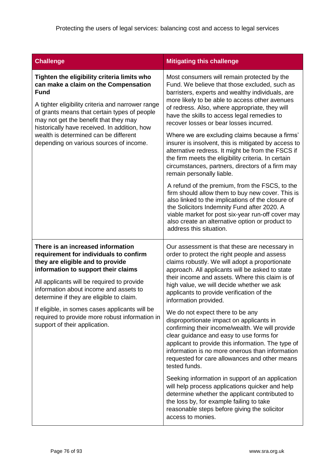| <b>Challenge</b>                                                                                                                                                                                                                                                                                                                                                                                                                | <b>Mitigating this challenge</b>                                                                                                                                                                                                                                                                                                                                                                                                                                                                                                                                                                                                                                                                                                                                                                                                                                                                                                                                                                             |
|---------------------------------------------------------------------------------------------------------------------------------------------------------------------------------------------------------------------------------------------------------------------------------------------------------------------------------------------------------------------------------------------------------------------------------|--------------------------------------------------------------------------------------------------------------------------------------------------------------------------------------------------------------------------------------------------------------------------------------------------------------------------------------------------------------------------------------------------------------------------------------------------------------------------------------------------------------------------------------------------------------------------------------------------------------------------------------------------------------------------------------------------------------------------------------------------------------------------------------------------------------------------------------------------------------------------------------------------------------------------------------------------------------------------------------------------------------|
| Tighten the eligibility criteria limits who<br>can make a claim on the Compensation<br><b>Fund</b><br>A tighter eligibility criteria and narrower range<br>of grants means that certain types of people<br>may not get the benefit that they may<br>historically have received. In addition, how<br>wealth is determined can be different<br>depending on various sources of income.                                            | Most consumers will remain protected by the<br>Fund. We believe that those excluded, such as<br>barristers, experts and wealthy individuals, are<br>more likely to be able to access other avenues<br>of redress. Also, where appropriate, they will<br>have the skills to access legal remedies to<br>recover losses or bear losses incurred.<br>Where we are excluding claims because a firms'<br>insurer is insolvent, this is mitigated by access to<br>alternative redress. It might be from the FSCS if<br>the firm meets the eligibility criteria. In certain<br>circumstances, partners, directors of a firm may<br>remain personally liable.<br>A refund of the premium, from the FSCS, to the<br>firm should allow them to buy new cover. This is<br>also linked to the implications of the closure of<br>the Solicitors Indemnity Fund after 2020. A<br>viable market for post six-year run-off cover may<br>also create an alternative option or product to<br>address this situation.           |
| There is an increased information<br>requirement for individuals to confirm<br>they are eligible and to provide<br>information to support their claims<br>All applicants will be required to provide<br>information about income and assets to<br>determine if they are eligible to claim.<br>If eligible, in somes cases applicants will be<br>required to provide more robust information in<br>support of their application. | Our assessment is that these are necessary in<br>order to protect the right people and assess<br>claims robustly. We will adopt a proportionate<br>approach. All applicants will be asked to state<br>their income and assets. Where this claim is of<br>high value, we will decide whether we ask<br>applicants to provide verification of the<br>information provided.<br>We do not expect there to be any<br>disproportionate impact on applicants in<br>confirming their income/wealth. We will provide<br>clear guidance and easy to use forms for<br>applicant to provide this information. The type of<br>information is no more onerous than information<br>requested for care allowances and other means<br>tested funds.<br>Seeking information in support of an application<br>will help process applications quicker and help<br>determine whether the applicant contributed to<br>the loss by, for example failing to take<br>reasonable steps before giving the solicitor<br>access to monies. |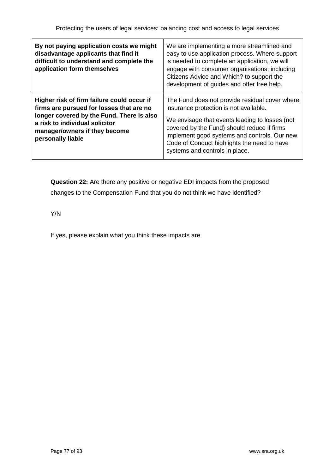| By not paying application costs we might<br>disadvantage applicants that find it<br>difficult to understand and complete the<br>application form themselves                                                                 | We are implementing a more streamlined and<br>easy to use application process. Where support<br>is needed to complete an application, we will<br>engage with consumer organisations, including<br>Citizens Advice and Which? to support the<br>development of guides and offer free help.                                  |
|-----------------------------------------------------------------------------------------------------------------------------------------------------------------------------------------------------------------------------|----------------------------------------------------------------------------------------------------------------------------------------------------------------------------------------------------------------------------------------------------------------------------------------------------------------------------|
| Higher risk of firm failure could occur if<br>firms are pursued for losses that are no<br>longer covered by the Fund. There is also<br>a risk to individual solicitor<br>manager/owners if they become<br>personally liable | The Fund does not provide residual cover where<br>insurance protection is not available.<br>We envisage that events leading to losses (not<br>covered by the Fund) should reduce if firms<br>implement good systems and controls. Our new<br>Code of Conduct highlights the need to have<br>systems and controls in place. |

**Question 22:** Are there any positive or negative EDI impacts from the proposed changes to the Compensation Fund that you do not think we have identified?

Y/N

If yes, please explain what you think these impacts are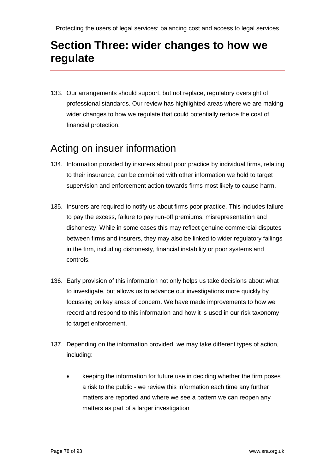# **Section Three: wider changes to how we regulate**

133. Our arrangements should support, but not replace, regulatory oversight of professional standards. Our review has highlighted areas where we are making wider changes to how we regulate that could potentially reduce the cost of financial protection.

### Acting on insuer information

- 134. Information provided by insurers about poor practice by individual firms, relating to their insurance, can be combined with other information we hold to target supervision and enforcement action towards firms most likely to cause harm.
- 135. Insurers are required to notify us about firms poor practice. This includes failure to pay the excess, failure to pay run-off premiums, misrepresentation and dishonesty. While in some cases this may reflect genuine commercial disputes between firms and insurers, they may also be linked to wider regulatory failings in the firm, including dishonesty, financial instability or poor systems and controls.
- 136. Early provision of this information not only helps us take decisions about what to investigate, but allows us to advance our investigations more quickly by focussing on key areas of concern. We have made improvements to how we record and respond to this information and how it is used in our risk taxonomy to target enforcement.
- 137. Depending on the information provided, we may take different types of action, including:
	- keeping the information for future use in deciding whether the firm poses a risk to the public - we review this information each time any further matters are reported and where we see a pattern we can reopen any matters as part of a larger investigation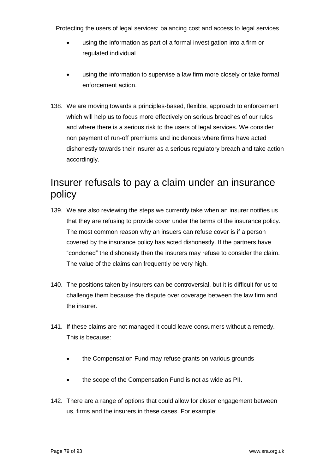- using the information as part of a formal investigation into a firm or regulated individual
- using the information to supervise a law firm more closely or take formal enforcement action.
- 138. We are moving towards a principles-based, flexible, approach to enforcement which will help us to focus more effectively on serious breaches of our rules and where there is a serious risk to the users of legal services. We consider non payment of run-off premiums and incidences where firms have acted dishonestly towards their insurer as a serious regulatory breach and take action accordingly.

## Insurer refusals to pay a claim under an insurance policy

- 139. We are also reviewing the steps we currently take when an insurer notifies us that they are refusing to provide cover under the terms of the insurance policy. The most common reason why an insuers can refuse cover is if a person covered by the insurance policy has acted dishonestly. If the partners have "condoned" the dishonesty then the insurers may refuse to consider the claim. The value of the claims can frequently be very high.
- 140. The positions taken by insurers can be controversial, but it is difficult for us to challenge them because the dispute over coverage between the law firm and the insurer.
- 141. If these claims are not managed it could leave consumers without a remedy. This is because:
	- the Compensation Fund may refuse grants on various grounds
	- the scope of the Compensation Fund is not as wide as PII.
- 142. There are a range of options that could allow for closer engagement between us, firms and the insurers in these cases. For example: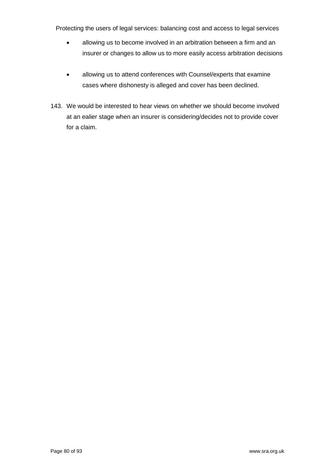- allowing us to become involved in an arbitration between a firm and an insurer or changes to allow us to more easily access arbitration decisions
- allowing us to attend conferences with Counsel/experts that examine cases where dishonesty is alleged and cover has been declined.
- 143. We would be interested to hear views on whether we should become involved at an ealier stage when an insurer is considering/decides not to provide cover for a claim.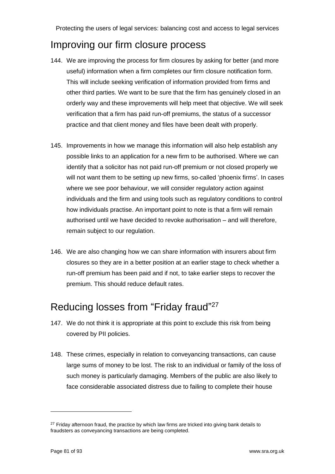## Improving our firm closure process

- 144. We are improving the process for firm closures by asking for better (and more useful) information when a firm completes our firm closure notification form. This will include seeking verification of information provided from firms and other third parties. We want to be sure that the firm has genuinely closed in an orderly way and these improvements will help meet that objective. We will seek verification that a firm has paid run-off premiums, the status of a successor practice and that client money and files have been dealt with properly.
- 145. Improvements in how we manage this information will also help establish any possible links to an application for a new firm to be authorised. Where we can identify that a solicitor has not paid run-off premium or not closed properly we will not want them to be setting up new firms, so-called 'phoenix firms'. In cases where we see poor behaviour, we will consider regulatory action against individuals and the firm and using tools such as regulatory conditions to control how individuals practise. An important point to note is that a firm will remain authorised until we have decided to revoke authorisation – and will therefore, remain subject to our regulation.
- 146. We are also changing how we can share information with insurers about firm closures so they are in a better position at an earlier stage to check whether a run-off premium has been paid and if not, to take earlier steps to recover the premium. This should reduce default rates.

## Reducing losses from "Friday fraud"<sup>27</sup>

- 147. We do not think it is appropriate at this point to exclude this risk from being covered by PII policies.
- 148. These crimes, especially in relation to conveyancing transactions, can cause large sums of money to be lost. The risk to an individual or family of the loss of such money is particularly damaging. Members of the public are also likely to face considerable associated distress due to failing to complete their house

 $\overline{a}$ 

 $27$  Friday afternoon fraud, the practice by which law firms are tricked into giving bank details to fraudsters as conveyancing transactions are being completed.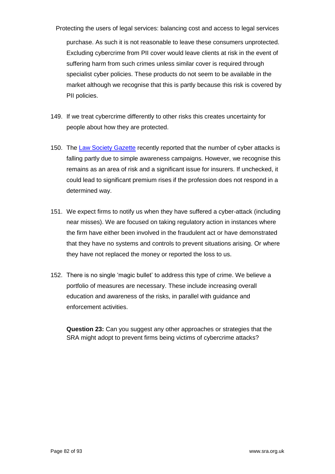Protecting the users of legal services: balancing cost and access to legal services purchase. As such it is not reasonable to leave these consumers unprotected. Excluding cybercrime from PII cover would leave clients at risk in the event of suffering harm from such crimes unless similar cover is required through specialist cyber policies. These products do not seem to be available in the market although we recognise that this is partly because this risk is covered by PII policies.

- 149. If we treat cybercrime differently to other risks this creates uncertainty for people about how they are protected.
- 150. The [Law Society Gazette](https://www.lawgazette.co.uk/features/pii-special-storm-watching/5064653.article) recently reported that the number of cyber attacks is falling partly due to simple awareness campaigns. However, we recognise this remains as an area of risk and a significant issue for insurers. If unchecked, it could lead to significant premium rises if the profession does not respond in a determined way.
- 151. We expect firms to notify us when they have suffered a cyber-attack (including near misses). We are focused on taking regulatory action in instances where the firm have either been involved in the fraudulent act or have demonstrated that they have no systems and controls to prevent situations arising. Or where they have not replaced the money or reported the loss to us.
- 152. There is no single 'magic bullet' to address this type of crime. We believe a portfolio of measures are necessary. These include increasing overall education and awareness of the risks, in parallel with guidance and enforcement activities.

**Question 23:** Can you suggest any other approaches or strategies that the SRA might adopt to prevent firms being victims of cybercrime attacks?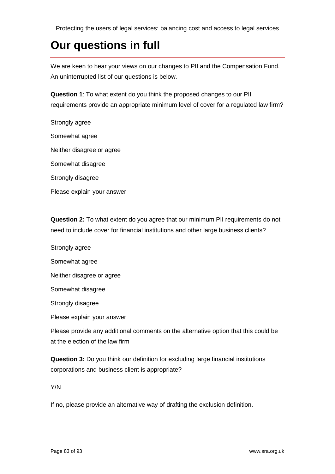# **Our questions in full**

We are keen to hear your views on our changes to PII and the Compensation Fund. An uninterrupted list of our questions is below.

**Question 1**: To what extent do you think the proposed changes to our PII requirements provide an appropriate minimum level of cover for a regulated law firm?

Strongly agree Somewhat agree Neither disagree or agree Somewhat disagree Strongly disagree Please explain your answer

**Question 2:** To what extent do you agree that our minimum PII requirements do not need to include cover for financial institutions and other large business clients?

Strongly agree Somewhat agree Neither disagree or agree Somewhat disagree Strongly disagree Please explain your answer Please provide any additional comments on the alternative option that this could be

at the election of the law firm

**Question 3:** Do you think our definition for excluding large financial institutions corporations and business client is appropriate?

Y/N

If no, please provide an alternative way of drafting the exclusion definition.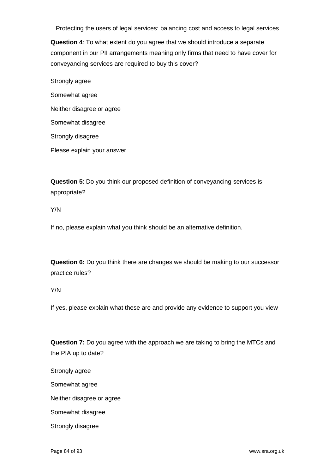**Question 4**: To what extent do you agree that we should introduce a separate component in our PII arrangements meaning only firms that need to have cover for conveyancing services are required to buy this cover?

Strongly agree Somewhat agree Neither disagree or agree Somewhat disagree Strongly disagree Please explain your answer

**Question 5**: Do you think our proposed definition of conveyancing services is appropriate?

Y/N

If no, please explain what you think should be an alternative definition.

**Question 6:** Do you think there are changes we should be making to our successor practice rules?

Y/N

If yes, please explain what these are and provide any evidence to support you view

**Question 7:** Do you agree with the approach we are taking to bring the MTCs and the PIA up to date?

Strongly agree

Somewhat agree

Neither disagree or agree

Somewhat disagree

Strongly disagree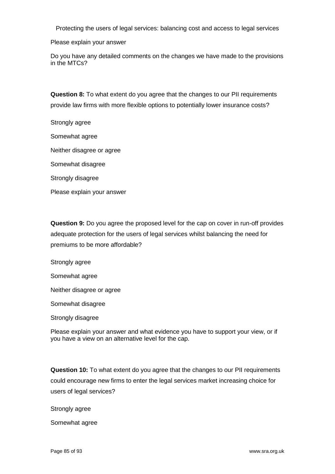Please explain your answer

Do you have any detailed comments on the changes we have made to the provisions in the MTCs?

**Question 8:** To what extent do you agree that the changes to our PII requirements provide law firms with more flexible options to potentially lower insurance costs?

Strongly agree

Somewhat agree

Neither disagree or agree

Somewhat disagree

Strongly disagree

Please explain your answer

**Question 9:** Do you agree the proposed level for the cap on cover in run-off provides adequate protection for the users of legal services whilst balancing the need for premiums to be more affordable?

Strongly agree

Somewhat agree

Neither disagree or agree

Somewhat disagree

Strongly disagree

Please explain your answer and what evidence you have to support your view, or if you have a view on an alternative level for the cap.

**Question 10:** To what extent do you agree that the changes to our PII requirements could encourage new firms to enter the legal services market increasing choice for users of legal services?

Strongly agree

Somewhat agree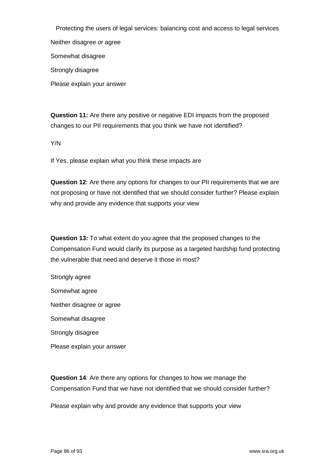Protecting the users of legal services: balancing cost and access to legal services Neither disagree or agree Somewhat disagree Strongly disagree

**Question 11:** Are there any positive or negative EDI impacts from the proposed changes to our PII requirements that you think we have not identified?

Y/N

Please explain your answer

If Yes, please explain what you think these impacts are

**Question 12**: Are there any options for changes to our PII requirements that we are not proposing or have not identified that we should consider further? Please explain why and provide any evidence that supports your view

**Question 13:** To what extent do you agree that the proposed changes to the Compensation Fund would clarify its purpose as a targeted hardship fund protecting the vulnerable that need and deserve it those in most?

Strongly agree Somewhat agree Neither disagree or agree Somewhat disagree Strongly disagree Please explain your answer

**Question 14**: Are there any options for changes to how we manage the Compensation Fund that we have not identified that we should consider further?

Please explain why and provide any evidence that supports your view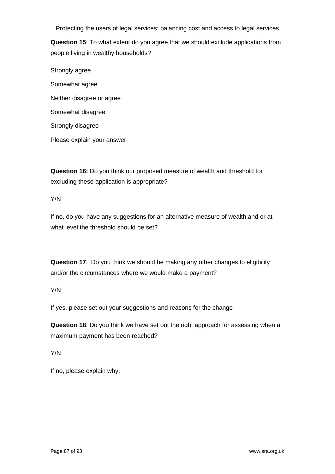**Question 15**: To what extent do you agree that we should exclude applications from people living in wealthy households?

Strongly agree Somewhat agree Neither disagree or agree Somewhat disagree Strongly disagree Please explain your answer

**Question 16:** Do you think our proposed measure of wealth and threshold for excluding these application is appropriate?

Y/N

If no, do you have any suggestions for an alternative measure of wealth and or at what level the threshold should be set?

**Question 17**: Do you think we should be making any other changes to eligibility and/or the circumstances where we would make a payment?

#### Y/N

If yes, please set out your suggestions and reasons for the change

**Question 18**: Do you think we have set out the right approach for assessing when a maximum payment has been reached?

Y/N

If no, please explain why.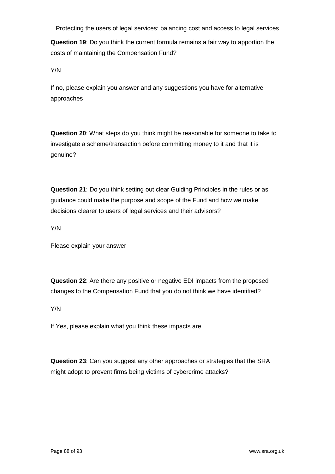**Question 19**: Do you think the current formula remains a fair way to apportion the costs of maintaining the Compensation Fund?

Y/N

If no, please explain you answer and any suggestions you have for alternative approaches

**Question 20**: What steps do you think might be reasonable for someone to take to investigate a scheme/transaction before committing money to it and that it is genuine?

**Question 21**: Do you think setting out clear Guiding Principles in the rules or as guidance could make the purpose and scope of the Fund and how we make decisions clearer to users of legal services and their advisors?

Y/N

Please explain your answer

**Question 22**: Are there any positive or negative EDI impacts from the proposed changes to the Compensation Fund that you do not think we have identified?

Y/N

If Yes, please explain what you think these impacts are

**Question 23**: Can you suggest any other approaches or strategies that the SRA might adopt to prevent firms being victims of cybercrime attacks?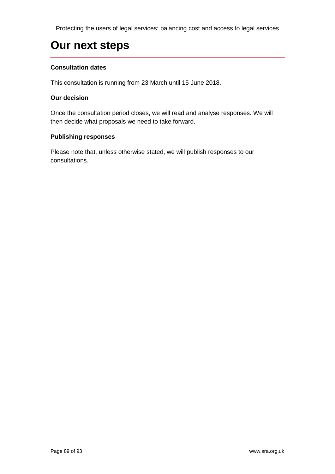# **Our next steps**

#### **Consultation dates**

This consultation is running from 23 March until 15 June 2018.

#### **Our decision**

Once the consultation period closes, we will read and analyse responses. We will then decide what proposals we need to take forward.

#### **Publishing responses**

Please note that, unless otherwise stated, we will publish responses to our consultations.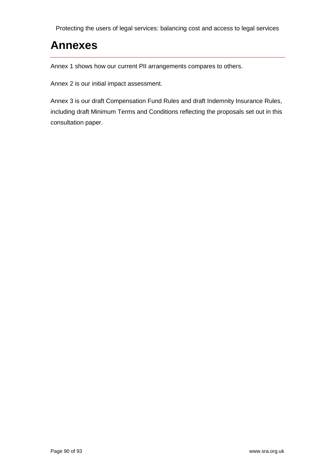## **Annexes**

Annex 1 shows how our current PII arrangements compares to others.

Annex 2 is our initial impact assessment.

Annex 3 is our draft Compensation Fund Rules and draft Indemnity Insurance Rules, including draft Minimum Terms and Conditions reflecting the proposals set out in this consultation paper.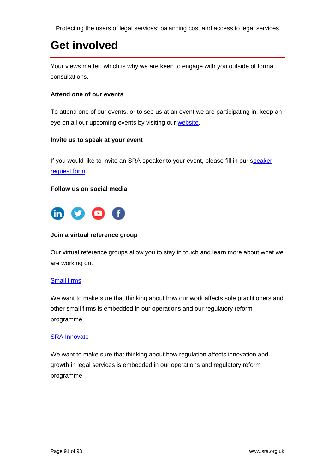# **Get involved**

Your views matter, which is why we are keen to engage with you outside of formal consultations.

#### **Attend one of our events**

To attend one of our events, or to see us at an event we are participating in, keep an eye on all our upcoming events by visiting our [website.](http://www.sra.org.uk/sra/news/events.page)

#### **Invite us to speak at your event**

If you would like to invite an SRA [speaker](https://forms.sra.org.uk/s3/Speaker-requests) to your event, please fill in our speaker [request form.](https://forms.sra.org.uk/s3/Speaker-requests)

#### **Follow us on social media**



#### **Join a virtual reference group**

Our virtual reference groups allow you to stay in touch and learn more about what we are working on.

#### [Small firms](http://www.surveygizmo.com/s3/1905202/Virtual-reference-group)

We want to make sure that thinking about how our work affects sole practitioners and other small firms is embedded in our operations and our regulatory reform programme.

#### [SRA Innovate](file:///C:/Users/012694/AppData/Local/Microsoft/Windows/INetCache/Content.Outlook/N4HYLZP6/forms.sra.org.uk/s3/vrginnovate)

We want to make sure that thinking about how regulation affects innovation and growth in legal services is embedded in our operations and regulatory reform programme.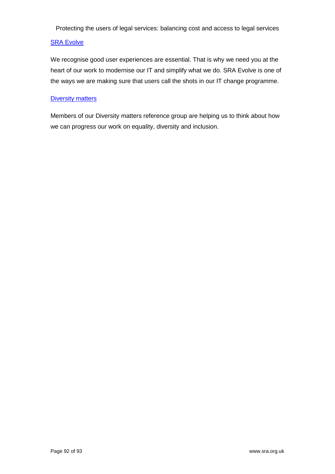#### [SRA Evolve](file:///C:/Users/012694/AppData/Local/Microsoft/Windows/INetCache/Content.Outlook/N4HYLZP6/forms.sra.org.uk/s3/evolve)

We recognise good user experiences are essential. That is why we need you at the heart of our work to modernise our IT and simplify what we do. SRA Evolve is one of the ways we are making sure that users call the shots in our IT change programme.

#### **[Diversity matters](http://forms.sra.org.uk/s3/diversitymatters)**

Members of our Diversity matters reference group are helping us to think about how we can progress our work on equality, diversity and inclusion.